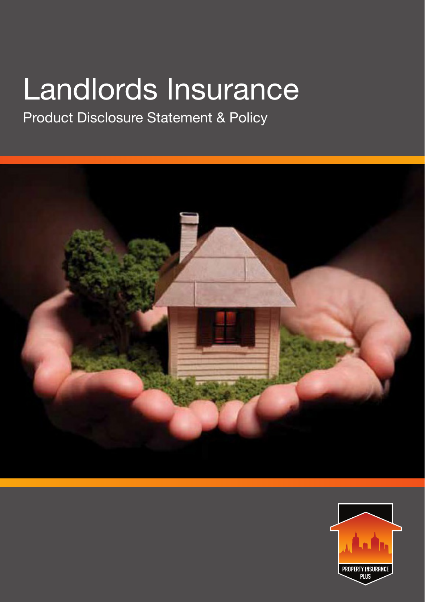## Landlords Insurance

Product Disclosure Statement & Policy



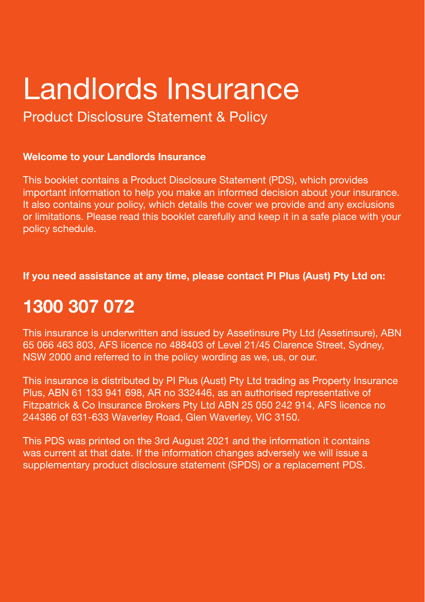## Landlords Insurance

Product Disclosure Statement & Policy

## **Welcome to your Landlords Insurance**

This booklet contains a Product Disclosure Statement (PDS), which provides important information to help you make an informed decision about your insurance. It also contains your policy, which details the cover we provide and any exclusions or limitations. Please read this booklet carefully and keep it in a safe place with your policy schedule.

**If you need assistance at any time, please contact PI Plus (Aust) Pty Ltd on:** 

## **1300 307 072**

This insurance is underwritten and issued by Assetinsure Pty Ltd (Assetinsure), ABN 65 066 463 803, AFS licence no 488403 of Level 21/45 Clarence Street, Sydney, NSW 2000 and referred to in the policy wording as we, us, or our.

This insurance is distributed by PI Plus (Aust) Pty Ltd trading as Property Insurance Plus, ABN 61 133 941 698, AR no 332446, as an authorised representative of Fitzpatrick & Co Insurance Brokers Pty Ltd ABN 25 050 242 914, AFS licence no 244386 of 631-633 Waverley Road, Glen Waverley, VIC 3150.

This PDS was printed on the 3rd August 2021 and the information it contains was current at that date. If the information changes adversely we will issue a supplementary product disclosure statement (SPDS) or a replacement PDS.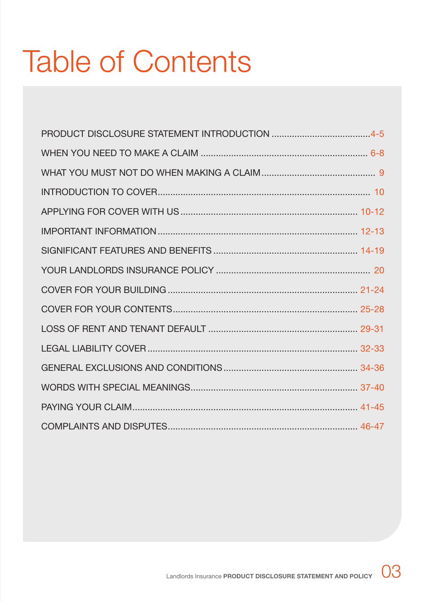# Table of Contents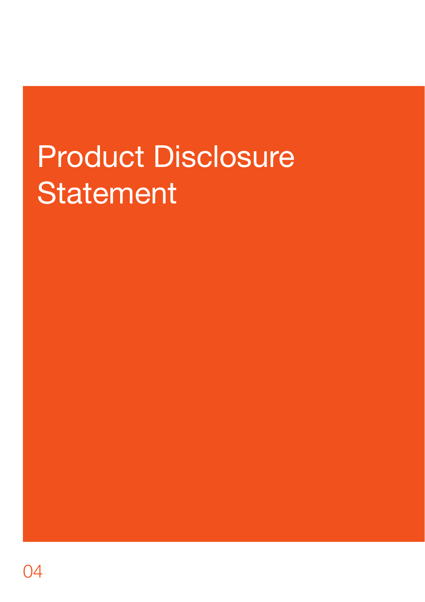# Product Disclosure **Statement**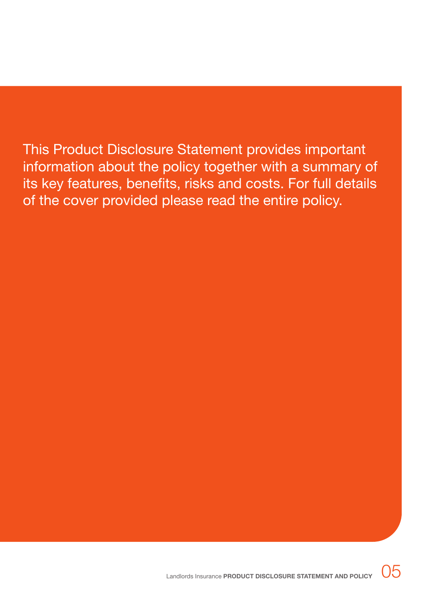This Product Disclosure Statement provides important information about the policy together with a summary of its key features, benefits, risks and costs. For full details of the cover provided please read the entire policy.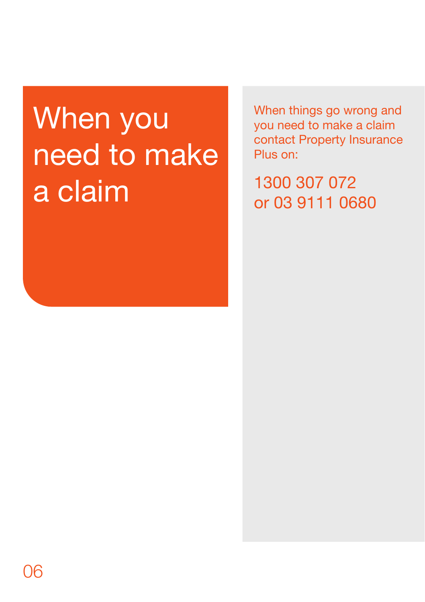# When you need to make a claim

When things go wrong and you need to make a claim contact Property Insurance Plus on:

1300 307 072 or 03 9111 0680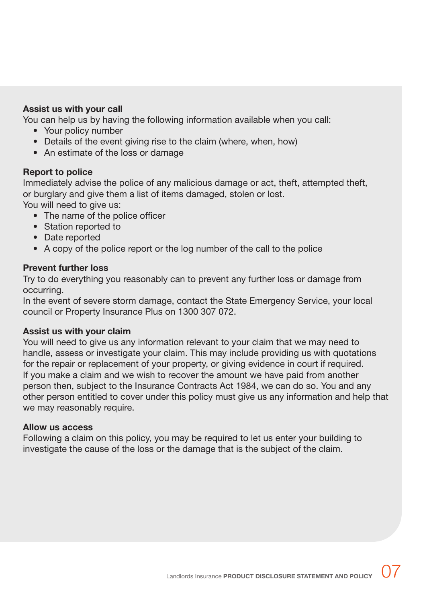## **Assist us with your call**

You can help us by having the following information available when you call:

- Your policy number
- Details of the event giving rise to the claim (where, when, how)
- An estimate of the loss or damage

## **Report to police**

Immediately advise the police of any malicious damage or act, theft, attempted theft, or burglary and give them a list of items damaged, stolen or lost.

You will need to give us:

- The name of the police officer
- Station reported to
- Date reported
- A copy of the police report or the log number of the call to the police

## **Prevent further loss**

Try to do everything you reasonably can to prevent any further loss or damage from occurring.

In the event of severe storm damage, contact the State Emergency Service, your local council or Property Insurance Plus on 1300 307 072.

## **Assist us with your claim**

You will need to give us any information relevant to your claim that we may need to handle, assess or investigate your claim. This may include providing us with quotations for the repair or replacement of your property, or giving evidence in court if required. If you make a claim and we wish to recover the amount we have paid from another person then, subject to the Insurance Contracts Act 1984, we can do so. You and any other person entitled to cover under this policy must give us any information and help that we may reasonably require.

## **Allow us access**

Following a claim on this policy, you may be required to let us enter your building to investigate the cause of the loss or the damage that is the subject of the claim.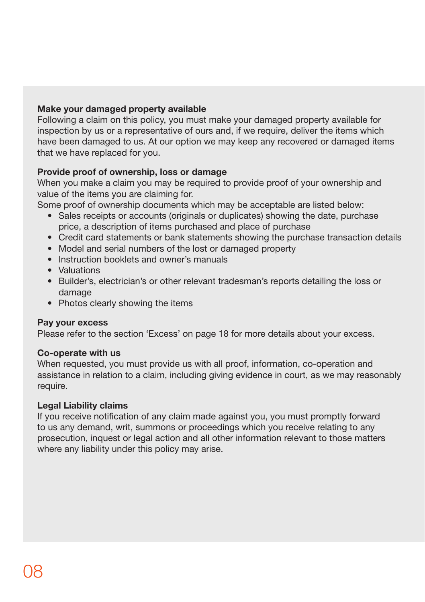## **Make your damaged property available**

Following a claim on this policy, you must make your damaged property available for inspection by us or a representative of ours and, if we require, deliver the items which have been damaged to us. At our option we may keep any recovered or damaged items that we have replaced for you.

## **Provide proof of ownership, loss or damage**

When you make a claim you may be required to provide proof of your ownership and value of the items you are claiming for.

Some proof of ownership documents which may be acceptable are listed below:

- Sales receipts or accounts (originals or duplicates) showing the date, purchase price, a description of items purchased and place of purchase
- Credit card statements or bank statements showing the purchase transaction details
- Model and serial numbers of the lost or damaged property
- Instruction booklets and owner's manuals
- Valuations
- Builder's, electrician's or other relevant tradesman's reports detailing the loss or damage
- Photos clearly showing the items

## **Pay your excess**

Please refer to the section 'Excess' on page 18 for more details about your excess.

## **Co-operate with us**

When requested, you must provide us with all proof, information, co-operation and assistance in relation to a claim, including giving evidence in court, as we may reasonably require.

## **Legal Liability claims**

If you receive notification of any claim made against you, you must promptly forward to us any demand, writ, summons or proceedings which you receive relating to any prosecution, inquest or legal action and all other information relevant to those matters where any liability under this policy may arise.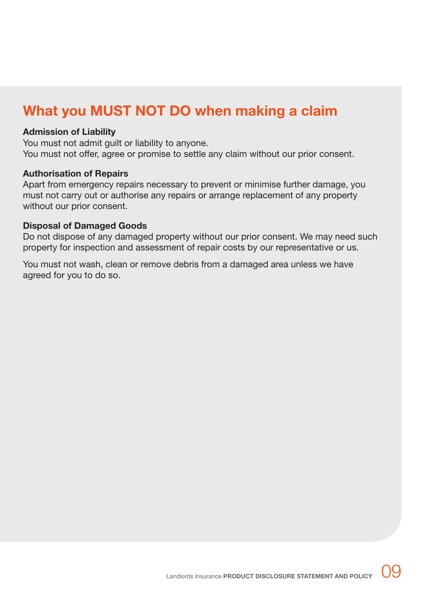## **What you MUST NOT DO when making a claim**

### **Admission of Liability**

You must not admit guilt or liability to anyone. You must not offer, agree or promise to settle any claim without our prior consent.

### **Authorisation of Repairs**

Apart from emergency repairs necessary to prevent or minimise further damage, you must not carry out or authorise any repairs or arrange replacement of any property without our prior consent.

### **Disposal of Damaged Goods**

Do not dispose of any damaged property without our prior consent. We may need such property for inspection and assessment of repair costs by our representative or us.

You must not wash, clean or remove debris from a damaged area unless we have agreed for you to do so.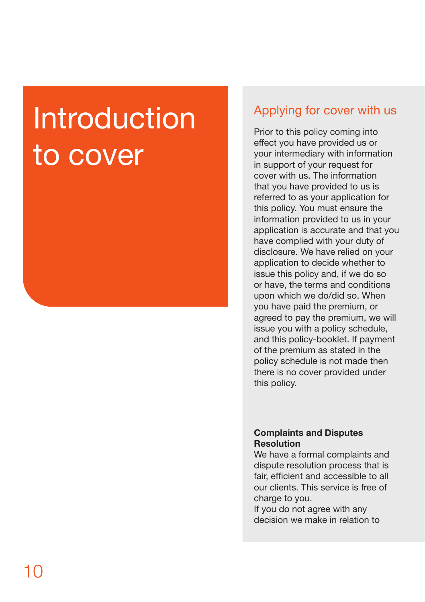# **Introduction** to cover

## Applying for cover with us

Prior to this policy coming into effect you have provided us or your intermediary with information in support of your request for cover with us. The information that you have provided to us is referred to as your application for this policy. You must ensure the information provided to us in your application is accurate and that you have complied with your duty of disclosure. We have relied on your application to decide whether to issue this policy and, if we do so or have, the terms and conditions upon which we do/did so. When you have paid the premium, or agreed to pay the premium, we will issue you with a policy schedule, and this policy-booklet. If payment of the premium as stated in the policy schedule is not made then there is no cover provided under this policy.

## **Complaints and Disputes Resolution**

We have a formal complaints and dispute resolution process that is fair, efficient and accessible to all our clients. This service is free of charge to you.

If you do not agree with any decision we make in relation to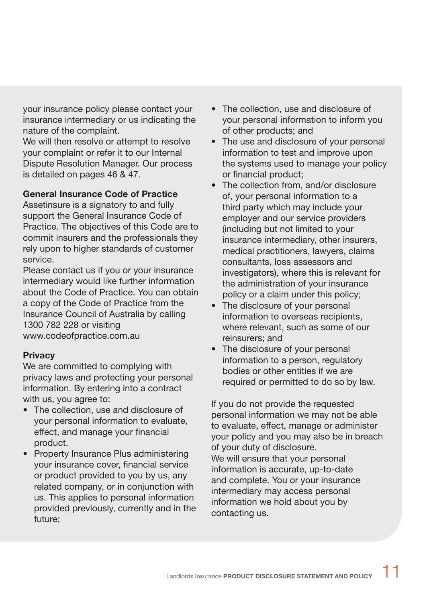your insurance policy please contact your insurance intermediary or us indicating the nature of the complaint.

We will then resolve or attempt to resolve your complaint or refer it to our Internal Dispute Resolution Manager. Our process is detailed on pages 46 & 47.

## **General Insurance Code of Practice**

Assetinsure is a signatory to and fully support the General Insurance Code of Practice. The objectives of this Code are to commit insurers and the professionals they rely upon to higher standards of customer service.

Please contact us if you or your insurance intermediary would like further information about the Code of Practice. You can obtain a copy of the Code of Practice from the Insurance Council of Australia by calling 1300 782 228 or visiting www.codeofpractice.com.au

## **Privacy**

We are committed to complying with privacy laws and protecting your personal information. By entering into a contract with us, you agree to:

- The collection, use and disclosure of your personal information to evaluate, effect, and manage your financial product.
- Property Insurance Plus administering your insurance cover, financial service or product provided to you by us, any related company, or in conjunction with us. This applies to personal information provided previously, currently and in the future;
- The collection, use and disclosure of your personal information to inform you of other products; and
- The use and disclosure of your personal information to test and improve upon the systems used to manage your policy or financial product;
- The collection from, and/or disclosure of, your personal information to a third party which may include your employer and our service providers (including but not limited to your insurance intermediary, other insurers, medical practitioners, lawyers, claims consultants, loss assessors and investigators), where this is relevant for the administration of your insurance policy or a claim under this policy;
- The disclosure of your personal information to overseas recipients, where relevant, such as some of our reinsurers; and
- The disclosure of your personal information to a person, regulatory bodies or other entities if we are required or permitted to do so by law.

If you do not provide the requested personal information we may not be able to evaluate, effect, manage or administer your policy and you may also be in breach of your duty of disclosure.

We will ensure that your personal information is accurate, up-to-date and complete. You or your insurance intermediary may access personal information we hold about you by contacting us.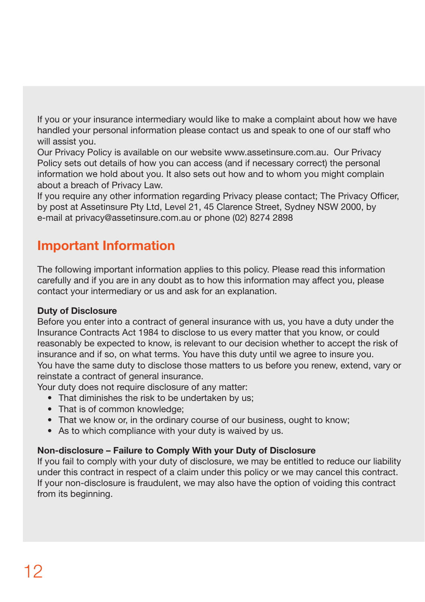If you or your insurance intermediary would like to make a complaint about how we have handled your personal information please contact us and speak to one of our staff who will assist you.

Our Privacy Policy is available on our website www.assetinsure.com.au. Our Privacy Policy sets out details of how you can access (and if necessary correct) the personal information we hold about you. It also sets out how and to whom you might complain about a breach of Privacy Law.

If you require any other information regarding Privacy please contact; The Privacy Officer, by post at Assetinsure Pty Ltd, Level 21, 45 Clarence Street, Sydney NSW 2000, by e-mail at privacy@assetinsure.com.au or phone (02) 8274 2898

## **Important Information**

The following important information applies to this policy. Please read this information carefully and if you are in any doubt as to how this information may affect you, please contact your intermediary or us and ask for an explanation.

## **Duty of Disclosure**

Before you enter into a contract of general insurance with us, you have a duty under the Insurance Contracts Act 1984 to disclose to us every matter that you know, or could reasonably be expected to know, is relevant to our decision whether to accept the risk of insurance and if so, on what terms. You have this duty until we agree to insure you. You have the same duty to disclose those matters to us before you renew, extend, vary or reinstate a contract of general insurance.

Your duty does not require disclosure of any matter:

- That diminishes the risk to be undertaken by us;
- That is of common knowledge;
- That we know or, in the ordinary course of our business, ought to know;
- As to which compliance with your duty is waived by us.

## **Non-disclosure – Failure to Comply With your Duty of Disclosure**

If you fail to comply with your duty of disclosure, we may be entitled to reduce our liability under this contract in respect of a claim under this policy or we may cancel this contract. If your non-disclosure is fraudulent, we may also have the option of voiding this contract from its beginning.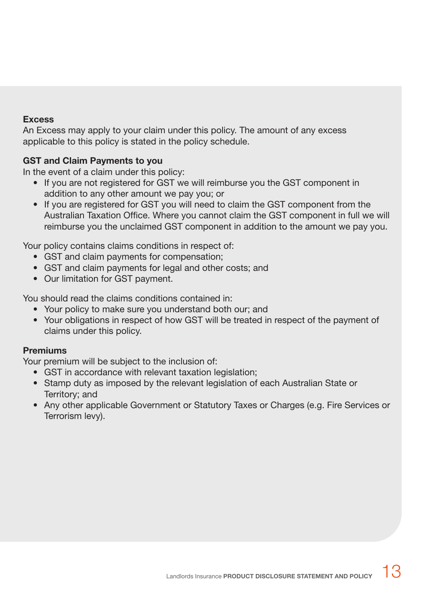## **Excess**

An Excess may apply to your claim under this policy. The amount of any excess applicable to this policy is stated in the policy schedule.

## **GST and Claim Payments to you**

In the event of a claim under this policy:

- If you are not registered for GST we will reimburse you the GST component in addition to any other amount we pay you; or
- If you are registered for GST you will need to claim the GST component from the Australian Taxation Office. Where you cannot claim the GST component in full we will reimburse you the unclaimed GST component in addition to the amount we pay you.

Your policy contains claims conditions in respect of:

- GST and claim payments for compensation;
- GST and claim payments for legal and other costs; and
- Our limitation for GST payment.

You should read the claims conditions contained in:

- Your policy to make sure you understand both our; and
- Your obligations in respect of how GST will be treated in respect of the payment of claims under this policy.

## **Premiums**

Your premium will be subject to the inclusion of:

- GST in accordance with relevant taxation legislation:
- Stamp duty as imposed by the relevant legislation of each Australian State or Territory; and
- Any other applicable Government or Statutory Taxes or Charges (e.g. Fire Services or Terrorism levy).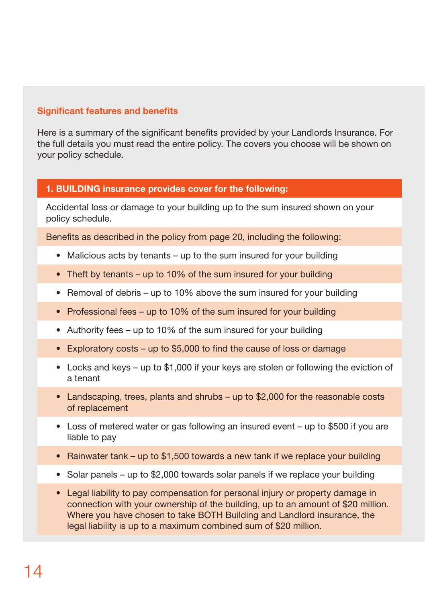## **Significant features and benefits**

Here is a summary of the significant benefits provided by your Landlords Insurance. For the full details you must read the entire policy. The covers you choose will be shown on your policy schedule.

## **1. BUILDING insurance provides cover for the following:**

Accidental loss or damage to your building up to the sum insured shown on your policy schedule.

Benefits as described in the policy from page 20, including the following:

- Malicious acts by tenants up to the sum insured for your building
- Theft by tenants up to 10% of the sum insured for your building
- Removal of debris up to 10% above the sum insured for your building
- Professional fees up to 10% of the sum insured for your building
- Authority fees up to 10% of the sum insured for your building
- Exploratory costs up to \$5,000 to find the cause of loss or damage
- Locks and keys up to \$1,000 if your keys are stolen or following the eviction of a tenant
- Landscaping, trees, plants and shrubs up to \$2,000 for the reasonable costs of replacement
- Loss of metered water or gas following an insured event up to \$500 if you are liable to pay
- Rainwater tank up to \$1,500 towards a new tank if we replace your building
- Solar panels up to \$2,000 towards solar panels if we replace your building
- Legal liability to pay compensation for personal injury or property damage in connection with your ownership of the building, up to an amount of \$20 million. Where you have chosen to take BOTH Building and Landlord insurance, the legal liability is up to a maximum combined sum of \$20 million.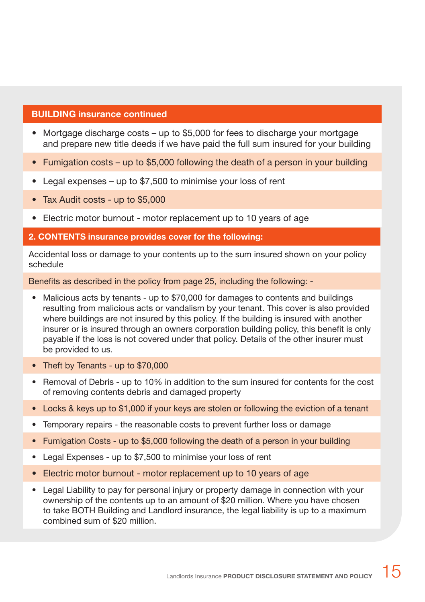## **BUILDING insurance continued**

- Mortgage discharge costs up to \$5,000 for fees to discharge your mortgage and prepare new title deeds if we have paid the full sum insured for your building
- Fumigation costs up to \$5,000 following the death of a person in your building
- Legal expenses up to \$7,500 to minimise your loss of rent
- Tax Audit costs up to \$5,000
- Electric motor burnout motor replacement up to 10 years of age
- **2. CONTENTS insurance provides cover for the following:**

Accidental loss or damage to your contents up to the sum insured shown on your policy schedule

Benefits as described in the policy from page 25, including the following: -

- Malicious acts by tenants up to \$70,000 for damages to contents and buildings resulting from malicious acts or vandalism by your tenant. This cover is also provided where buildings are not insured by this policy. If the building is insured with another insurer or is insured through an owners corporation building policy, this benefit is only payable if the loss is not covered under that policy. Details of the other insurer must be provided to us.
- Theft by Tenants up to \$70,000
- Removal of Debris up to 10% in addition to the sum insured for contents for the cost of removing contents debris and damaged property
- Locks & keys up to \$1,000 if your keys are stolen or following the eviction of a tenant
- Temporary repairs the reasonable costs to prevent further loss or damage
- Fumigation Costs up to \$5,000 following the death of a person in your building
- Legal Expenses up to \$7,500 to minimise your loss of rent
- Electric motor burnout motor replacement up to 10 years of age
- Legal Liability to pay for personal injury or property damage in connection with your ownership of the contents up to an amount of \$20 million. Where you have chosen to take BOTH Building and Landlord insurance, the legal liability is up to a maximum combined sum of \$20 million.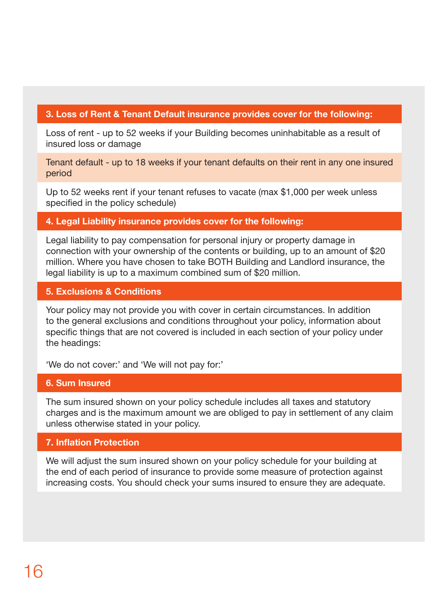## **3. Loss of Rent & Tenant Default insurance provides cover for the following:**

Loss of rent - up to 52 weeks if your Building becomes uninhabitable as a result of insured loss or damage

Tenant default - up to 18 weeks if your tenant defaults on their rent in any one insured period

Up to 52 weeks rent if your tenant refuses to vacate (max \$1,000 per week unless specified in the policy schedule)

## **4. Legal Liability insurance provides cover for the following:**

Legal liability to pay compensation for personal injury or property damage in connection with your ownership of the contents or building, up to an amount of \$20 million. Where you have chosen to take BOTH Building and Landlord insurance, the legal liability is up to a maximum combined sum of \$20 million.

## **5. Exclusions & Conditions**

Your policy may not provide you with cover in certain circumstances. In addition to the general exclusions and conditions throughout your policy, information about specific things that are not covered is included in each section of your policy under the headings:

'We do not cover:' and 'We will not pay for:'

## **6. Sum Insured**

The sum insured shown on your policy schedule includes all taxes and statutory charges and is the maximum amount we are obliged to pay in settlement of any claim unless otherwise stated in your policy.

## **7. Inflation Protection**

We will adjust the sum insured shown on your policy schedule for your building at the end of each period of insurance to provide some measure of protection against increasing costs. You should check your sums insured to ensure they are adequate.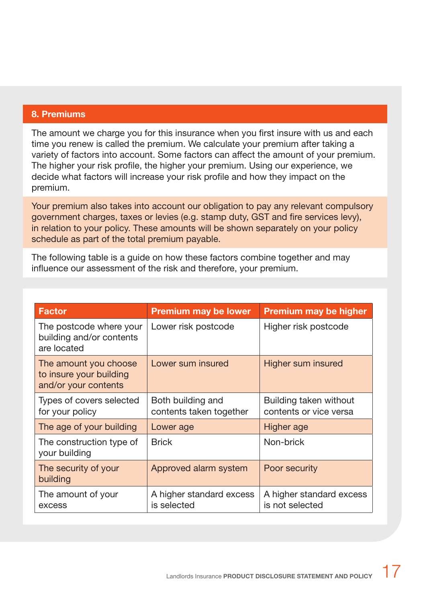## **8. Premiums**

The amount we charge you for this insurance when you first insure with us and each time you renew is called the premium. We calculate your premium after taking a variety of factors into account. Some factors can affect the amount of your premium. The higher your risk profile, the higher your premium. Using our experience, we decide what factors will increase your risk profile and how they impact on the premium.

Your premium also takes into account our obligation to pay any relevant compulsory government charges, taxes or levies (e.g. stamp duty, GST and fire services levy), in relation to your policy. These amounts will be shown separately on your policy schedule as part of the total premium payable.

The following table is a guide on how these factors combine together and may influence our assessment of the risk and therefore, your premium.

| <b>Factor</b>                                                            | <b>Premium may be lower</b>                  | <b>Premium may be higher</b>                     |
|--------------------------------------------------------------------------|----------------------------------------------|--------------------------------------------------|
| The postcode where your<br>building and/or contents<br>are located       | Lower risk postcode                          | Higher risk postcode                             |
| The amount you choose<br>to insure your building<br>and/or your contents | Lower sum insured                            | Higher sum insured                               |
| Types of covers selected<br>for your policy                              | Both building and<br>contents taken together | Building taken without<br>contents or vice versa |
| The age of your building                                                 | Lower age                                    | Higher age                                       |
| The construction type of<br>your building                                | <b>Brick</b>                                 | Non-brick                                        |
| The security of your<br>building                                         | Approved alarm system                        | Poor security                                    |
| The amount of your<br>excess                                             | A higher standard excess<br>is selected      | A higher standard excess<br>is not selected      |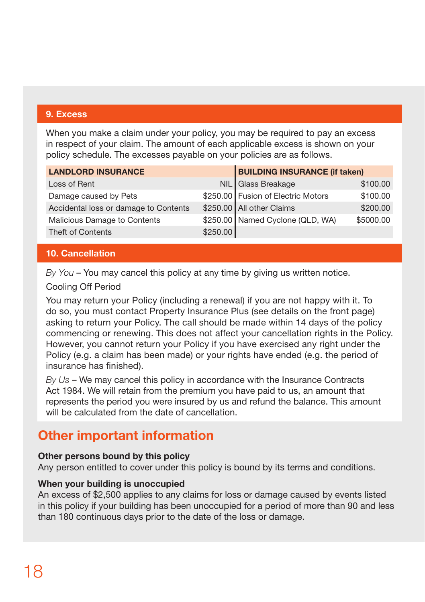## **9. Excess**

When you make a claim under your policy, you may be required to pay an excess in respect of your claim. The amount of each applicable excess is shown on your policy schedule. The excesses payable on your policies are as follows.

| <b>LANDLORD INSURANCE</b>             |          | <b>BUILDING INSURANCE (if taken)</b> |           |
|---------------------------------------|----------|--------------------------------------|-----------|
| Loss of Rent                          |          | NIL Glass Breakage                   | \$100.00  |
| Damage caused by Pets                 |          | \$250.00 Fusion of Electric Motors   | \$100.00  |
| Accidental loss or damage to Contents |          | \$250.00 All other Claims            | \$200.00  |
| Malicious Damage to Contents          |          | \$250.00 Named Cyclone (QLD, WA)     | \$5000.00 |
| <b>Theft of Contents</b>              | \$250.00 |                                      |           |

## **10. Cancellation**

*By You* – You may cancel this policy at any time by giving us written notice.

## Cooling Off Period

You may return your Policy (including a renewal) if you are not happy with it. To do so, you must contact Property Insurance Plus (see details on the front page) asking to return your Policy. The call should be made within 14 days of the policy commencing or renewing. This does not affect your cancellation rights in the Policy. However, you cannot return your Policy if you have exercised any right under the Policy (e.g. a claim has been made) or your rights have ended (e.g. the period of insurance has finished).

*By Us* – We may cancel this policy in accordance with the Insurance Contracts Act 1984. We will retain from the premium you have paid to us, an amount that represents the period you were insured by us and refund the balance. This amount will be calculated from the date of cancellation.

## **Other important information**

## **Other persons bound by this policy**

Any person entitled to cover under this policy is bound by its terms and conditions.

## **When your building is unoccupied**

An excess of \$2,500 applies to any claims for loss or damage caused by events listed in this policy if your building has been unoccupied for a period of more than 90 and less than 180 continuous days prior to the date of the loss or damage.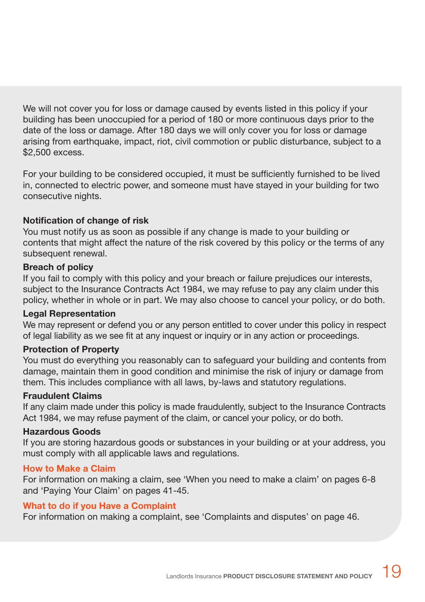We will not cover you for loss or damage caused by events listed in this policy if your building has been unoccupied for a period of 180 or more continuous days prior to the date of the loss or damage. After 180 days we will only cover you for loss or damage arising from earthquake, impact, riot, civil commotion or public disturbance, subject to a \$2,500 excess.

For your building to be considered occupied, it must be sufficiently furnished to be lived in, connected to electric power, and someone must have stayed in your building for two consecutive nights.

## **Notification of change of risk**

You must notify us as soon as possible if any change is made to your building or contents that might affect the nature of the risk covered by this policy or the terms of any subsequent renewal.

## **Breach of policy**

If you fail to comply with this policy and your breach or failure prejudices our interests, subject to the Insurance Contracts Act 1984, we may refuse to pay any claim under this policy, whether in whole or in part. We may also choose to cancel your policy, or do both.

## **Legal Representation**

We may represent or defend you or any person entitled to cover under this policy in respect of legal liability as we see fit at any inquest or inquiry or in any action or proceedings.

## **Protection of Property**

You must do everything you reasonably can to safeguard your building and contents from damage, maintain them in good condition and minimise the risk of injury or damage from them. This includes compliance with all laws, by-laws and statutory regulations.

## **Fraudulent Claims**

If any claim made under this policy is made fraudulently, subject to the Insurance Contracts Act 1984, we may refuse payment of the claim, or cancel your policy, or do both.

## **Hazardous Goods**

If you are storing hazardous goods or substances in your building or at your address, you must comply with all applicable laws and regulations.

## **How to Make a Claim**

For information on making a claim, see 'When you need to make a claim' on pages 6-8 and 'Paying Your Claim' on pages 41-45.

## **What to do if you Have a Complaint**

For information on making a complaint, see 'Complaints and disputes' on page 46.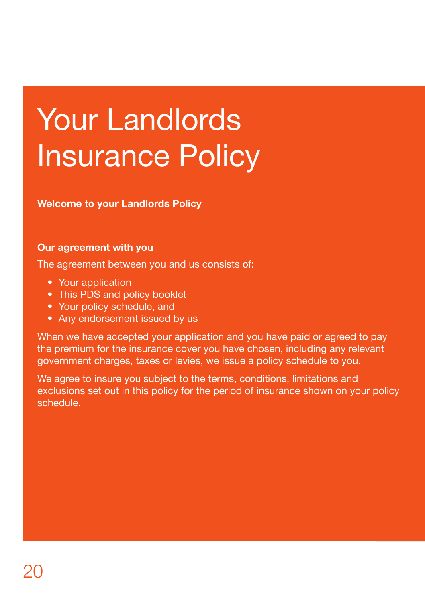# Your Landlords Insurance Policy

**Welcome to your Landlords Policy**

## **Our agreement with you**

The agreement between you and us consists of:

- Your application
- This PDS and policy booklet
- Your policy schedule, and
- Any endorsement issued by us

When we have accepted your application and you have paid or agreed to pay the premium for the insurance cover you have chosen, including any relevant government charges, taxes or levies, we issue a policy schedule to you.

We agree to insure you subject to the terms, conditions, limitations and exclusions set out in this policy for the period of insurance shown on your policy schedule.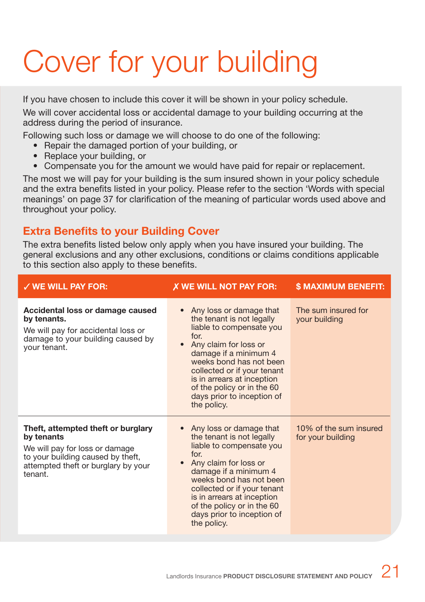# Cover for your building

If you have chosen to include this cover it will be shown in your policy schedule.

We will cover accidental loss or accidental damage to your building occurring at the address during the period of insurance.

Following such loss or damage we will choose to do one of the following:

- Repair the damaged portion of your building, or
- Replace your building, or
- Compensate you for the amount we would have paid for repair or replacement.

The most we will pay for your building is the sum insured shown in your policy schedule and the extra benefits listed in your policy. Please refer to the section 'Words with special meanings' on page 37 for clarification of the meaning of particular words used above and throughout your policy.

## **Extra Benefits to your Building Cover**

The extra benefits listed below only apply when you have insured your building. The general exclusions and any other exclusions, conditions or claims conditions applicable to this section also apply to these benefits.

| $\checkmark$ WE WILL PAY FOR:                                                                                                                                             | X WE WILL NOT PAY FOR:                                                                                                                                                                                                                                                                                                      | <b>\$ MAXIMUM BENEFIT:</b>                  |
|---------------------------------------------------------------------------------------------------------------------------------------------------------------------------|-----------------------------------------------------------------------------------------------------------------------------------------------------------------------------------------------------------------------------------------------------------------------------------------------------------------------------|---------------------------------------------|
| Accidental loss or damage caused<br>by tenants.<br>We will pay for accidental loss or<br>damage to your building caused by<br>your tenant.                                | Any loss or damage that<br>the tenant is not legally<br>liable to compensate you<br>for<br>Any claim for loss or<br>damage if a minimum 4<br>weeks bond has not been<br>collected or if your tenant<br>is in arrears at inception<br>of the policy or in the 60<br>days prior to inception of<br>the policy.                | The sum insured for<br>your building        |
| Theft, attempted theft or burglary<br>by tenants<br>We will pay for loss or damage<br>to your building caused by theft,<br>attempted theft or burglary by your<br>tenant. | • Any loss or damage that<br>the tenant is not legally<br>liable to compensate you<br>for<br>Any claim for loss or<br>$\bullet$<br>damage if a minimum 4<br>weeks bond has not been<br>collected or if your tenant<br>is in arrears at inception<br>of the policy or in the 60<br>days prior to inception of<br>the policy. | 10% of the sum insured<br>for your building |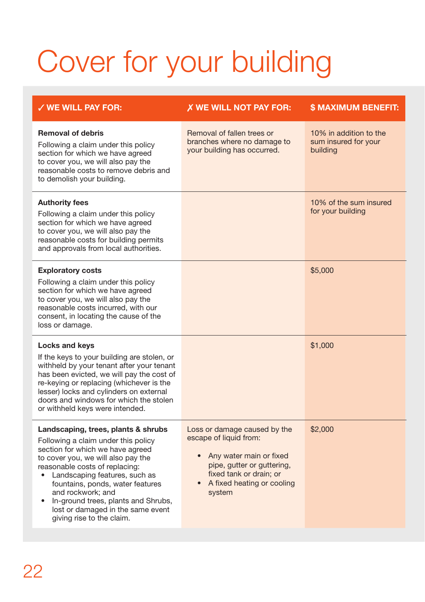# Cover for your building

| $\checkmark$ WE WILL PAY FOR:                                                                                                                                                                                                                                                                                                                                                                          | X WE WILL NOT PAY FOR:                                                                                                                                                               | <b>S MAXIMUM BENEFIT:</b>                                  |
|--------------------------------------------------------------------------------------------------------------------------------------------------------------------------------------------------------------------------------------------------------------------------------------------------------------------------------------------------------------------------------------------------------|--------------------------------------------------------------------------------------------------------------------------------------------------------------------------------------|------------------------------------------------------------|
| <b>Removal of debris</b><br>Following a claim under this policy<br>section for which we have agreed<br>to cover you, we will also pay the<br>reasonable costs to remove debris and<br>to demolish your building.                                                                                                                                                                                       | Removal of fallen trees or<br>branches where no damage to<br>your building has occurred.                                                                                             | 10% in addition to the<br>sum insured for your<br>building |
| <b>Authority fees</b><br>Following a claim under this policy<br>section for which we have agreed<br>to cover you, we will also pay the<br>reasonable costs for building permits<br>and approvals from local authorities.                                                                                                                                                                               |                                                                                                                                                                                      | 10% of the sum insured<br>for your building                |
| <b>Exploratory costs</b><br>Following a claim under this policy<br>section for which we have agreed<br>to cover you, we will also pay the<br>reasonable costs incurred, with our<br>consent, in locating the cause of the<br>loss or damage.                                                                                                                                                           |                                                                                                                                                                                      | \$5,000                                                    |
| Locks and keys<br>If the keys to your building are stolen, or<br>withheld by your tenant after your tenant<br>has been evicted, we will pay the cost of<br>re-keying or replacing (whichever is the<br>lesser) locks and cylinders on external<br>doors and windows for which the stolen<br>or withheld keys were intended.                                                                            |                                                                                                                                                                                      | \$1,000                                                    |
| Landscaping, trees, plants & shrubs<br>Following a claim under this policy<br>section for which we have agreed<br>to cover you, we will also pay the<br>reasonable costs of replacing:<br>Landscaping features, such as<br>fountains, ponds, water features<br>and rockwork; and<br>In-ground trees, plants and Shrubs,<br>$\bullet$<br>lost or damaged in the same event<br>giving rise to the claim. | Loss or damage caused by the<br>escape of liquid from:<br>Any water main or fixed<br>pipe, gutter or guttering,<br>fixed tank or drain; or<br>• A fixed heating or cooling<br>system | \$2,000                                                    |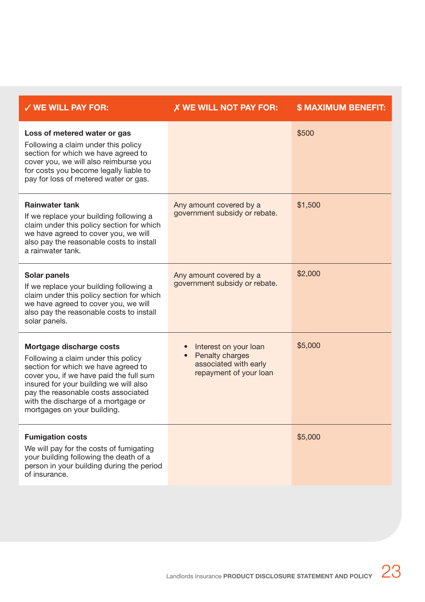| $\checkmark$ WE WILL PAY FOR:                                                                                                                                                                                                                                                                            | <b>X WE WILL NOT PAY FOR:</b>                                                                 | <b>\$ MAXIMUM BENEFIT:</b> |
|----------------------------------------------------------------------------------------------------------------------------------------------------------------------------------------------------------------------------------------------------------------------------------------------------------|-----------------------------------------------------------------------------------------------|----------------------------|
| Loss of metered water or gas<br>Following a claim under this policy<br>section for which we have agreed to<br>cover you, we will also reimburse you<br>for costs you become legally liable to<br>pay for loss of metered water or gas.                                                                   |                                                                                               | \$500                      |
| <b>Rainwater tank</b><br>If we replace your building following a<br>claim under this policy section for which<br>we have agreed to cover you, we will<br>also pay the reasonable costs to install<br>a rainwater tank.                                                                                   | Any amount covered by a<br>government subsidy or rebate.                                      | \$1,500                    |
| Solar panels<br>If we replace your building following a<br>claim under this policy section for which<br>we have agreed to cover you, we will<br>also pay the reasonable costs to install<br>solar panels.                                                                                                | Any amount covered by a<br>government subsidy or rebate.                                      | \$2,000                    |
| Mortgage discharge costs<br>Following a claim under this policy<br>section for which we have agreed to<br>cover you, if we have paid the full sum<br>insured for your building we will also<br>pay the reasonable costs associated<br>with the discharge of a mortgage or<br>mortgages on your building. | Interest on your loan<br>• Penalty charges<br>associated with early<br>repayment of your loan | \$5,000                    |
| <b>Fumigation costs</b><br>We will pay for the costs of fumigating<br>your building following the death of a<br>person in your building during the period<br>of insurance.                                                                                                                               |                                                                                               | \$5,000                    |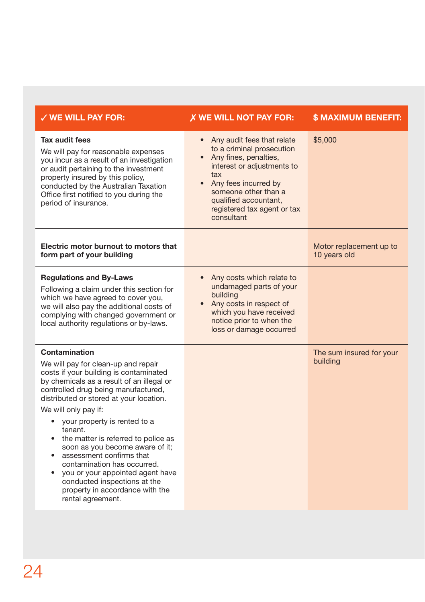| $\checkmark$ WE WILL PAY FOR:                                                                                                                                                                                                                                                                                                                                                                                                                                                                                                                                                                                 | <b>X WE WILL NOT PAY FOR:</b>                                                                                                                                                                                                                                | <b>\$ MAXIMUM BENEFIT:</b>              |
|---------------------------------------------------------------------------------------------------------------------------------------------------------------------------------------------------------------------------------------------------------------------------------------------------------------------------------------------------------------------------------------------------------------------------------------------------------------------------------------------------------------------------------------------------------------------------------------------------------------|--------------------------------------------------------------------------------------------------------------------------------------------------------------------------------------------------------------------------------------------------------------|-----------------------------------------|
| Tax audit fees<br>We will pay for reasonable expenses<br>you incur as a result of an investigation<br>or audit pertaining to the investment<br>property insured by this policy,<br>conducted by the Australian Taxation<br>Office first notified to you during the<br>period of insurance.                                                                                                                                                                                                                                                                                                                    | • Any audit fees that relate<br>to a criminal prosecution<br>• Any fines, penalties,<br>interest or adjustments to<br>tax<br>Any fees incurred by<br>$\bullet$<br>someone other than a<br>qualified accountant,<br>registered tax agent or tax<br>consultant | \$5,000                                 |
| Electric motor burnout to motors that<br>form part of your building                                                                                                                                                                                                                                                                                                                                                                                                                                                                                                                                           |                                                                                                                                                                                                                                                              | Motor replacement up to<br>10 years old |
| <b>Regulations and By-Laws</b><br>Following a claim under this section for<br>which we have agreed to cover you,<br>we will also pay the additional costs of<br>complying with changed government or<br>local authority regulations or by-laws.                                                                                                                                                                                                                                                                                                                                                               | Any costs which relate to<br>$\bullet$<br>undamaged parts of your<br>building<br>• Any costs in respect of<br>which you have received<br>notice prior to when the<br>loss or damage occurred                                                                 |                                         |
| Contamination<br>We will pay for clean-up and repair<br>costs if your building is contaminated<br>by chemicals as a result of an illegal or<br>controlled drug being manufactured,<br>distributed or stored at your location.<br>We will only pay if:<br>your property is rented to a<br>٠<br>tenant.<br>the matter is referred to police as<br>$\bullet$<br>soon as you become aware of it;<br>assessment confirms that<br>$\bullet$<br>contamination has occurred.<br>you or your appointed agent have<br>$\bullet$<br>conducted inspections at the<br>property in accordance with the<br>rental agreement. |                                                                                                                                                                                                                                                              | The sum insured for your<br>building    |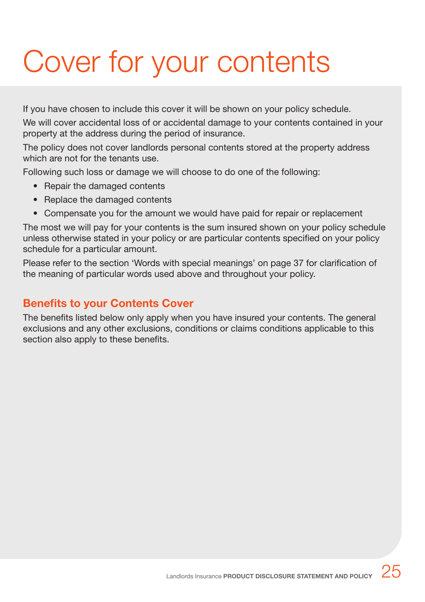# Cover for your contents

If you have chosen to include this cover it will be shown on your policy schedule.

We will cover accidental loss of or accidental damage to your contents contained in your property at the address during the period of insurance.

The policy does not cover landlords personal contents stored at the property address which are not for the tenants use.

Following such loss or damage we will choose to do one of the following:

- Repair the damaged contents
- Replace the damaged contents
- Compensate you for the amount we would have paid for repair or replacement

The most we will pay for your contents is the sum insured shown on your policy schedule unless otherwise stated in your policy or are particular contents specified on your policy schedule for a particular amount.

Please refer to the section 'Words with special meanings' on page 37 for clarification of the meaning of particular words used above and throughout your policy.

## **Benefits to your Contents Cover**

The benefits listed below only apply when you have insured your contents. The general exclusions and any other exclusions, conditions or claims conditions applicable to this section also apply to these benefits.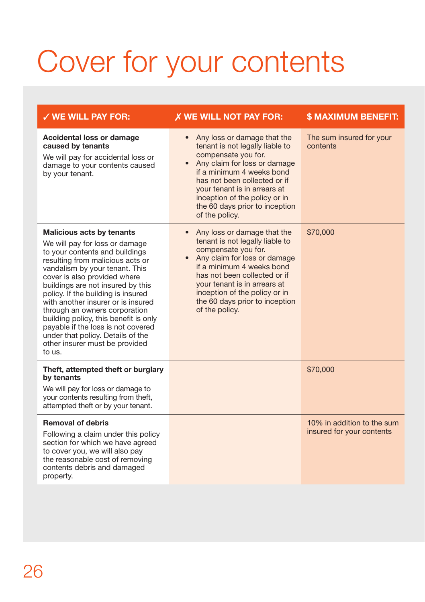## Cover for your contents

| <b>V WE WILL PAY FOR:</b>                                                                                                                                                                                                                                                                                                                                                                                                                                                                                                    | X WE WILL NOT PAY FOR:                                                                                                                                                                                                                                                                                                            | <b>\$ MAXIMUM BENEFIT:</b>                              |
|------------------------------------------------------------------------------------------------------------------------------------------------------------------------------------------------------------------------------------------------------------------------------------------------------------------------------------------------------------------------------------------------------------------------------------------------------------------------------------------------------------------------------|-----------------------------------------------------------------------------------------------------------------------------------------------------------------------------------------------------------------------------------------------------------------------------------------------------------------------------------|---------------------------------------------------------|
| Accidental loss or damage<br>caused by tenants<br>We will pay for accidental loss or<br>damage to your contents caused<br>by your tenant.                                                                                                                                                                                                                                                                                                                                                                                    | Any loss or damage that the<br>$\bullet$<br>tenant is not legally liable to<br>compensate you for.<br>Any claim for loss or damage<br>$\bullet$<br>if a minimum 4 weeks bond<br>has not been collected or if<br>your tenant is in arrears at<br>inception of the policy or in<br>the 60 days prior to inception<br>of the policy. | The sum insured for your<br>contents                    |
| <b>Malicious acts by tenants</b><br>We will pay for loss or damage<br>to your contents and buildings<br>resulting from malicious acts or<br>vandalism by your tenant. This<br>cover is also provided where<br>buildings are not insured by this<br>policy. If the building is insured<br>with another insurer or is insured<br>through an owners corporation<br>building policy, this benefit is only<br>payable if the loss is not covered<br>under that policy. Details of the<br>other insurer must be provided<br>to us. | Any loss or damage that the<br>$\bullet$<br>tenant is not legally liable to<br>compensate you for.<br>Any claim for loss or damage<br>$\bullet$<br>if a minimum 4 weeks bond<br>has not been collected or if<br>vour tenant is in arrears at<br>inception of the policy or in<br>the 60 days prior to inception<br>of the policy. | \$70,000                                                |
| Theft, attempted theft or burglary<br>by tenants<br>We will pay for loss or damage to<br>your contents resulting from theft,<br>attempted theft or by your tenant.                                                                                                                                                                                                                                                                                                                                                           |                                                                                                                                                                                                                                                                                                                                   | \$70,000                                                |
| <b>Removal of debris</b><br>Following a claim under this policy<br>section for which we have agreed<br>to cover you, we will also pay<br>the reasonable cost of removing<br>contents debris and damaged<br>property.                                                                                                                                                                                                                                                                                                         |                                                                                                                                                                                                                                                                                                                                   | 10% in addition to the sum<br>insured for your contents |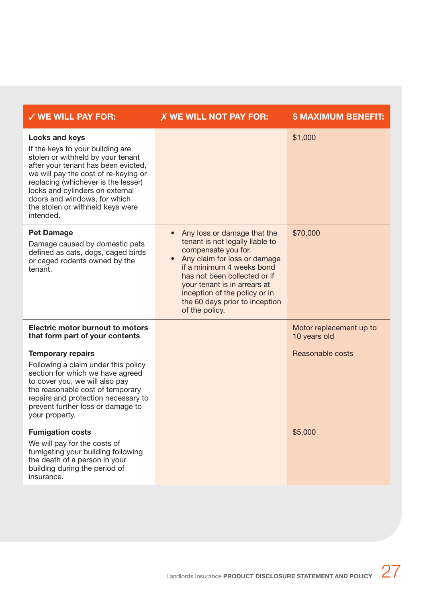| $\checkmark$ WE WILL PAY FOR:                                                                                                                                                                                                                                                                                                     | X WE WILL NOT PAY FOR:                                                                                                                                                                                                                                                                                               | <b>\$ MAXIMUM BENEFIT:</b>              |
|-----------------------------------------------------------------------------------------------------------------------------------------------------------------------------------------------------------------------------------------------------------------------------------------------------------------------------------|----------------------------------------------------------------------------------------------------------------------------------------------------------------------------------------------------------------------------------------------------------------------------------------------------------------------|-----------------------------------------|
| Locks and keys<br>If the keys to your building are<br>stolen or withheld by your tenant<br>after your tenant has been evicted,<br>we will pay the cost of re-keying or<br>replacing (whichever is the lesser)<br>locks and cylinders on external<br>doors and windows, for which<br>the stolen or withheld keys were<br>intended. |                                                                                                                                                                                                                                                                                                                      | \$1,000                                 |
| <b>Pet Damage</b><br>Damage caused by domestic pets<br>defined as cats, dogs, caged birds<br>or caged rodents owned by the<br>tenant.                                                                                                                                                                                             | Any loss or damage that the<br>$\bullet$<br>tenant is not legally liable to<br>compensate you for.<br>Any claim for loss or damage<br>if a minimum 4 weeks bond<br>has not been collected or if<br>vour tenant is in arrears at<br>inception of the policy or in<br>the 60 days prior to inception<br>of the policy. | \$70,000                                |
| Electric motor burnout to motors<br>that form part of your contents                                                                                                                                                                                                                                                               |                                                                                                                                                                                                                                                                                                                      | Motor replacement up to<br>10 years old |
| <b>Temporary repairs</b><br>Following a claim under this policy<br>section for which we have agreed<br>to cover you, we will also pay<br>the reasonable cost of temporary<br>repairs and protection necessary to<br>prevent further loss or damage to<br>your property.                                                           |                                                                                                                                                                                                                                                                                                                      | Reasonable costs                        |
| <b>Fumigation costs</b><br>We will pay for the costs of<br>fumigating your building following<br>the death of a person in your<br>building during the period of<br>insurance.                                                                                                                                                     |                                                                                                                                                                                                                                                                                                                      | \$5,000                                 |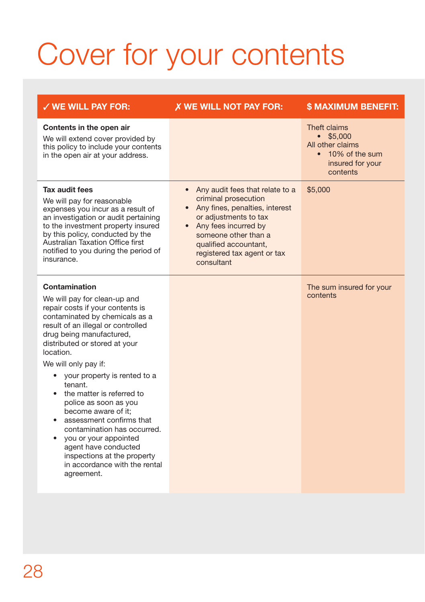# Cover for your contents

| $\checkmark$ WE WILL PAY FOR:                                                                                                                                                                                                                                                                                                                                                                                                                                                                                                                                                                                                     | X WE WILL NOT PAY FOR:                                                                                                                                                                                                                                               | <b>\$ MAXIMUM BENEFIT:</b>                                                                                |
|-----------------------------------------------------------------------------------------------------------------------------------------------------------------------------------------------------------------------------------------------------------------------------------------------------------------------------------------------------------------------------------------------------------------------------------------------------------------------------------------------------------------------------------------------------------------------------------------------------------------------------------|----------------------------------------------------------------------------------------------------------------------------------------------------------------------------------------------------------------------------------------------------------------------|-----------------------------------------------------------------------------------------------------------|
| Contents in the open air<br>We will extend cover provided by<br>this policy to include your contents<br>in the open air at your address.                                                                                                                                                                                                                                                                                                                                                                                                                                                                                          |                                                                                                                                                                                                                                                                      | Theft claims<br>$\bullet$ \$5,000<br>All other claims<br>• 10% of the sum<br>insured for your<br>contents |
| Tax audit fees<br>We will pay for reasonable<br>expenses you incur as a result of<br>an investigation or audit pertaining<br>to the investment property insured<br>by this policy, conducted by the<br>Australian Taxation Office first<br>notified to you during the period of<br>insurance.                                                                                                                                                                                                                                                                                                                                     | Any audit fees that relate to a<br>$\bullet$<br>criminal prosecution<br>• Any fines, penalties, interest<br>or adjustments to tax<br>Any fees incurred by<br>$\bullet$<br>someone other than a<br>qualified accountant,<br>registered tax agent or tax<br>consultant | \$5,000                                                                                                   |
| Contamination<br>We will pay for clean-up and<br>repair costs if your contents is<br>contaminated by chemicals as a<br>result of an illegal or controlled<br>drug being manufactured,<br>distributed or stored at your<br>location.<br>We will only pay if:<br>your property is rented to a<br>$\bullet$<br>tenant.<br>the matter is referred to<br>$\bullet$<br>police as soon as you<br>become aware of it:<br>assessment confirms that<br>$\bullet$<br>contamination has occurred.<br>you or your appointed<br>$\bullet$<br>agent have conducted<br>inspections at the property<br>in accordance with the rental<br>agreement. |                                                                                                                                                                                                                                                                      | The sum insured for your<br>contents                                                                      |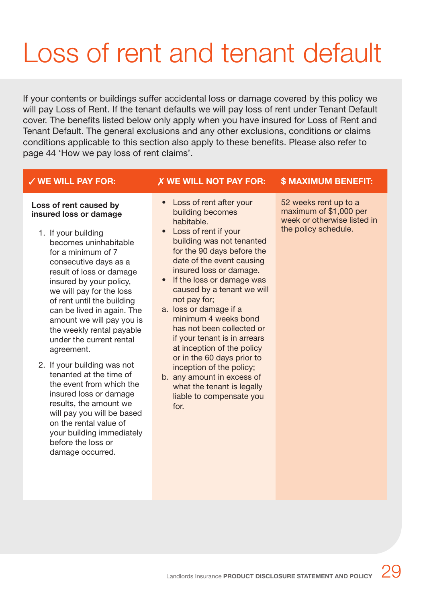## Loss of rent and tenant default

If your contents or buildings suffer accidental loss or damage covered by this policy we will pay Loss of Rent. If the tenant defaults we will pay loss of rent under Tenant Default cover. The benefits listed below only apply when you have insured for Loss of Rent and Tenant Default. The general exclusions and any other exclusions, conditions or claims conditions applicable to this section also apply to these benefits. Please also refer to page 44 'How we pay loss of rent claims'.

### **Loss of rent caused by insured loss or damage**

- 1. If your building becomes uninhabitable for a minimum of 7 consecutive days as a result of loss or damage insured by your policy, we will pay for the loss of rent until the building can be lived in again. The amount we will pay you is the weekly rental payable under the current rental agreement.
- 2. If your building was not tenanted at the time of the event from which the insured loss or damage results, the amount we will pay you will be based on the rental value of your building immediately before the loss or damage occurred.

## **WE WILL PAY FOR: WE WILL NOT PAY FOR: \$ MAXIMUM BENEFIT:**

- Loss of rent after your building becomes habitable.
- Loss of rent if your building was not tenanted for the 90 days before the date of the event causing insured loss or damage.
- If the loss or damage was caused by a tenant we will not pay for;
- a. loss or damage if a minimum 4 weeks bond has not been collected or if your tenant is in arrears at inception of the policy or in the 60 days prior to inception of the policy;
- b. any amount in excess of what the tenant is legally liable to compensate you for.

52 weeks rent up to a maximum of \$1,000 per week or otherwise listed in the policy schedule.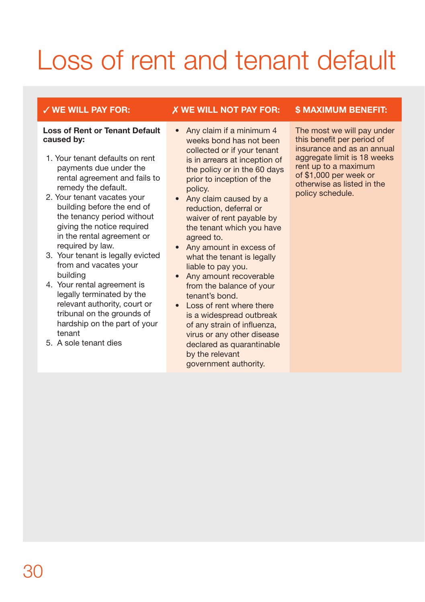## Loss of rent and tenant default

### **Loss of Rent or Tenant Default caused by:**

- 1. Your tenant defaults on rent payments due under the rental agreement and fails to remedy the default.
- 2. Your tenant vacates your building before the end of the tenancy period without giving the notice required in the rental agreement or required by law.
- 3. Your tenant is legally evicted from and vacates your building
- 4. Your rental agreement is legally terminated by the relevant authority, court or tribunal on the grounds of hardship on the part of your tenant
- 5. A sole tenant dies

## **WE WILL PAY FOR: WE WILL NOT PAY FOR: \$ MAXIMUM BENEFIT:**

- Any claim if a minimum 4 weeks bond has not been collected or if your tenant is in arrears at inception of the policy or in the 60 days prior to inception of the policy.
- Any claim caused by a reduction, deferral or waiver of rent payable by the tenant which you have agreed to.
- Any amount in excess of what the tenant is legally liable to pay you.
- Any amount recoverable from the balance of your tenant's bond.
- Loss of rent where there is a widespread outbreak of any strain of influenza, virus or any other disease declared as quarantinable by the relevant government authority.

The most we will pay under this benefit per period of insurance and as an annual aggregate limit is 18 weeks rent up to a maximum of \$1,000 per week or otherwise as listed in the policy schedule.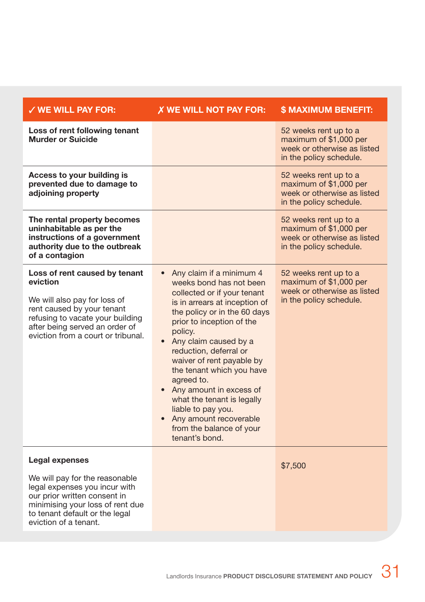| $\checkmark$ WE WILL PAY FOR:                                                                                                                                                                                       | <b>X WE WILL NOT PAY FOR:</b>                                                                                                                                                                                                                                                                                                                                                                                                                                                                    | <b>\$ MAXIMUM BENEFIT:</b>                                                                                |
|---------------------------------------------------------------------------------------------------------------------------------------------------------------------------------------------------------------------|--------------------------------------------------------------------------------------------------------------------------------------------------------------------------------------------------------------------------------------------------------------------------------------------------------------------------------------------------------------------------------------------------------------------------------------------------------------------------------------------------|-----------------------------------------------------------------------------------------------------------|
| Loss of rent following tenant<br><b>Murder or Suicide</b>                                                                                                                                                           |                                                                                                                                                                                                                                                                                                                                                                                                                                                                                                  | 52 weeks rent up to a<br>maximum of \$1,000 per<br>week or otherwise as listed<br>in the policy schedule. |
| Access to your building is<br>prevented due to damage to<br>adjoining property                                                                                                                                      |                                                                                                                                                                                                                                                                                                                                                                                                                                                                                                  | 52 weeks rent up to a<br>maximum of \$1,000 per<br>week or otherwise as listed<br>in the policy schedule. |
| The rental property becomes<br>uninhabitable as per the<br>instructions of a government<br>authority due to the outbreak<br>of a contagion                                                                          |                                                                                                                                                                                                                                                                                                                                                                                                                                                                                                  | 52 weeks rent up to a<br>maximum of \$1,000 per<br>week or otherwise as listed<br>in the policy schedule. |
| Loss of rent caused by tenant<br>eviction<br>We will also pay for loss of<br>rent caused by your tenant<br>refusing to vacate your building<br>after being served an order of<br>eviction from a court or tribunal. | • Any claim if a minimum 4<br>weeks bond has not been<br>collected or if your tenant<br>is in arrears at inception of<br>the policy or in the 60 days<br>prior to inception of the<br>policy.<br>• Any claim caused by a<br>reduction, deferral or<br>waiver of rent payable by<br>the tenant which you have<br>agreed to.<br>• Any amount in excess of<br>what the tenant is legally<br>liable to pay you.<br>Any amount recoverable<br>$\bullet$<br>from the balance of your<br>tenant's bond. | 52 weeks rent up to a<br>maximum of \$1,000 per<br>week or otherwise as listed<br>in the policy schedule. |
| Legal expenses<br>We will pay for the reasonable<br>legal expenses you incur with<br>our prior written consent in<br>minimising your loss of rent due<br>to tenant default or the legal<br>eviction of a tenant.    |                                                                                                                                                                                                                                                                                                                                                                                                                                                                                                  | \$7,500                                                                                                   |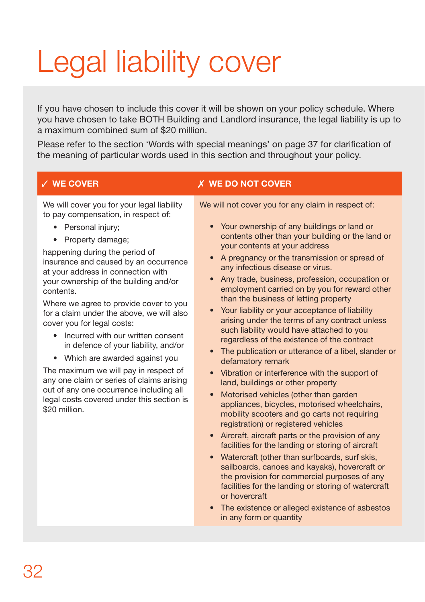# Legal liability cover

If you have chosen to include this cover it will be shown on your policy schedule. Where you have chosen to take BOTH Building and Landlord insurance, the legal liability is up to a maximum combined sum of \$20 million.

Please refer to the section 'Words with special meanings' on page 37 for clarification of the meaning of particular words used in this section and throughout your policy.

We will cover you for your legal liability to pay compensation, in respect of:

- Personal injury;
- Property damage;

happening during the period of insurance and caused by an occurrence at your address in connection with your ownership of the building and/or contents.

Where we agree to provide cover to you for a claim under the above, we will also cover you for legal costs:

- Incurred with our written consent in defence of your liability, and/or
- Which are awarded against you

The maximum we will pay in respect of any one claim or series of claims arising out of any one occurrence including all legal costs covered under this section is \$20 million.

## **WE COVER WE DO NOT COVER**

We will not cover you for any claim in respect of:

- Your ownership of any buildings or land or contents other than your building or the land or your contents at your address
- A pregnancy or the transmission or spread of any infectious disease or virus.
- Any trade, business, profession, occupation or employment carried on by you for reward other than the business of letting property
- Your liability or your acceptance of liability arising under the terms of any contract unless such liability would have attached to you regardless of the existence of the contract
- The publication or utterance of a libel, slander or defamatory remark
- Vibration or interference with the support of land, buildings or other property
- Motorised vehicles (other than garden appliances, bicycles, motorised wheelchairs, mobility scooters and go carts not requiring registration) or registered vehicles
- Aircraft, aircraft parts or the provision of any facilities for the landing or storing of aircraft
- Watercraft (other than surfboards, surf skis, sailboards, canoes and kayaks), hovercraft or the provision for commercial purposes of any facilities for the landing or storing of watercraft or hovercraft
- The existence or alleged existence of asbestos in any form or quantity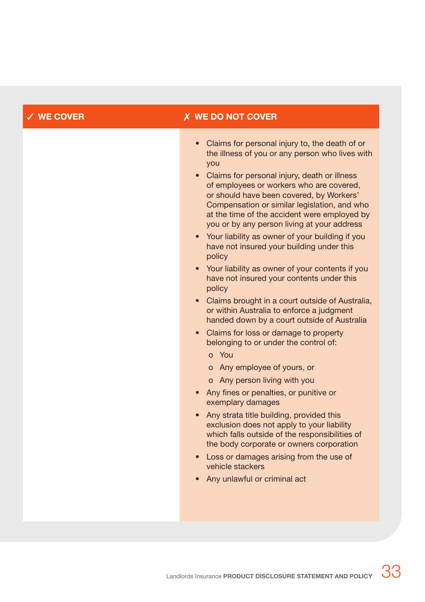## **WE COVER WE DO NOT COVER**

- Claims for personal injury to, the death of or the illness of you or any person who lives with you
- Claims for personal injury, death or illness of employees or workers who are covered, or should have been covered, by Workers' Compensation or similar legislation, and who at the time of the accident were employed by you or by any person living at your address
- Your liability as owner of your building if you have not insured your building under this policy
- Your liability as owner of your contents if you have not insured your contents under this policy
- Claims brought in a court outside of Australia. or within Australia to enforce a judgment handed down by a court outside of Australia
- Claims for loss or damage to property belonging to or under the control of:
	- o You
	- o Any employee of yours, or
	- o Any person living with you
- Any fines or penalties, or punitive or exemplary damages
- Any strata title building, provided this exclusion does not apply to your liability which falls outside of the responsibilities of the body corporate or owners corporation
- Loss or damages arising from the use of vehicle stackers
- Any unlawful or criminal act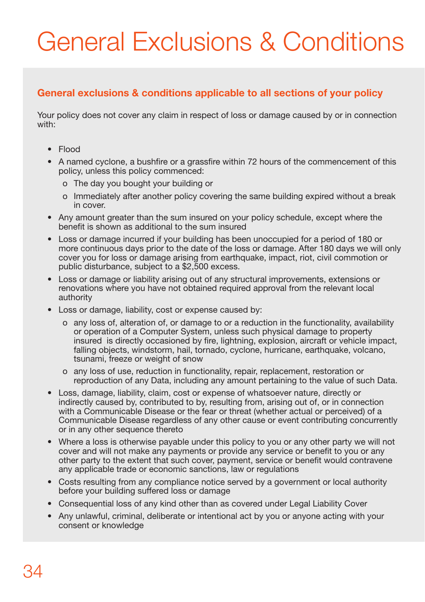## General Exclusions & Conditions

## **General exclusions & conditions applicable to all sections of your policy**

Your policy does not cover any claim in respect of loss or damage caused by or in connection with:

- Flood
- A named cyclone, a bushfire or a grassfire within 72 hours of the commencement of this policy, unless this policy commenced:
	- o The day you bought your building or
	- o Immediately after another policy covering the same building expired without a break in cover.
- Any amount greater than the sum insured on your policy schedule, except where the benefit is shown as additional to the sum insured
- Loss or damage incurred if your building has been unoccupied for a period of 180 or more continuous days prior to the date of the loss or damage. After 180 days we will only cover you for loss or damage arising from earthquake, impact, riot, civil commotion or public disturbance, subject to a \$2,500 excess.
- Loss or damage or liability arising out of any structural improvements, extensions or renovations where you have not obtained required approval from the relevant local authority
- Loss or damage, liability, cost or expense caused by:
	- o any loss of, alteration of, or damage to or a reduction in the functionality, availability or operation of a Computer System, unless such physical damage to property insured is directly occasioned by fire, lightning, explosion, aircraft or vehicle impact, falling objects, windstorm, hail, tornado, cyclone, hurricane, earthquake, volcano, tsunami, freeze or weight of snow
	- o any loss of use, reduction in functionality, repair, replacement, restoration or reproduction of any Data, including any amount pertaining to the value of such Data.
- Loss, damage, liability, claim, cost or expense of whatsoever nature, directly or indirectly caused by, contributed to by, resulting from, arising out of, or in connection with a Communicable Disease or the fear or threat (whether actual or perceived) of a Communicable Disease regardless of any other cause or event contributing concurrently or in any other sequence thereto
- Where a loss is otherwise payable under this policy to you or any other party we will not cover and will not make any payments or provide any service or benefit to you or any other party to the extent that such cover, payment, service or benefit would contravene any applicable trade or economic sanctions, law or regulations
- Costs resulting from any compliance notice served by a government or local authority before your building suffered loss or damage
- Consequential loss of any kind other than as covered under Legal Liability Cover
- Any unlawful, criminal, deliberate or intentional act by you or anyone acting with your consent or knowledge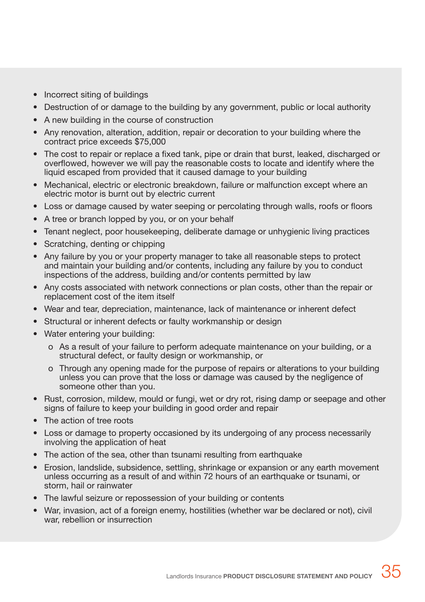- Incorrect siting of buildings
- Destruction of or damage to the building by any government, public or local authority
- A new building in the course of construction
- Any renovation, alteration, addition, repair or decoration to your building where the contract price exceeds \$75,000
- The cost to repair or replace a fixed tank, pipe or drain that burst, leaked, discharged or overflowed, however we will pay the reasonable costs to locate and identify where the liquid escaped from provided that it caused damage to your building
- Mechanical, electric or electronic breakdown, failure or malfunction except where an electric motor is burnt out by electric current
- Loss or damage caused by water seeping or percolating through walls, roofs or floors
- A tree or branch lopped by you, or on your behalf
- Tenant neglect, poor housekeeping, deliberate damage or unhygienic living practices
- Scratching, denting or chipping
- Any failure by you or your property manager to take all reasonable steps to protect and maintain your building and/or contents, including any failure by you to conduct inspections of the address, building and/or contents permitted by law
- Any costs associated with network connections or plan costs, other than the repair or replacement cost of the item itself
- Wear and tear, depreciation, maintenance, lack of maintenance or inherent defect
- Structural or inherent defects or faulty workmanship or design
- Water entering your building:
	- o As a result of your failure to perform adequate maintenance on your building, or a structural defect, or faulty design or workmanship, or
	- o Through any opening made for the purpose of repairs or alterations to your building unless you can prove that the loss or damage was caused by the negligence of someone other than you.
- Rust, corrosion, mildew, mould or fungi, wet or dry rot, rising damp or seepage and other signs of failure to keep your building in good order and repair
- The action of tree roots
- Loss or damage to property occasioned by its undergoing of any process necessarily involving the application of heat
- The action of the sea, other than tsunami resulting from earthquake
- Frosion, landslide, subsidence, settling, shrinkage or expansion or any earth movement unless occurring as a result of and within 72 hours of an earthquake or tsunami, or storm, hail or rainwater
- The lawful seizure or repossession of your building or contents
- War, invasion, act of a foreign enemy, hostilities (whether war be declared or not), civil war, rebellion or insurrection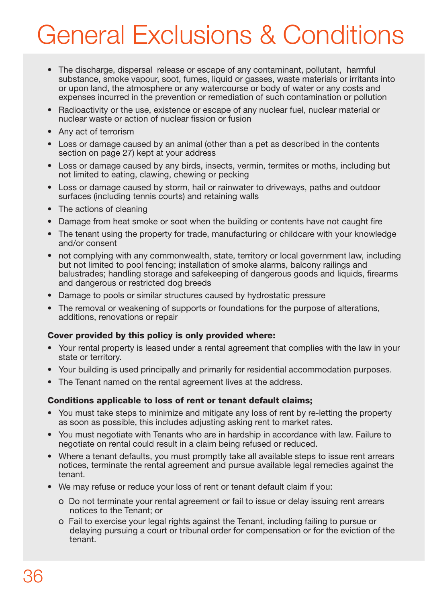## General Exclusions & Conditions

- The discharge, dispersal release or escape of any contaminant, pollutant, harmful substance, smoke vapour, soot, fumes, liquid or gasses, waste materials or irritants into or upon land, the atmosphere or any watercourse or body of water or any costs and expenses incurred in the prevention or remediation of such contamination or pollution
- Radioactivity or the use, existence or escape of any nuclear fuel, nuclear material or nuclear waste or action of nuclear fission or fusion
- Any act of terrorism
- Loss or damage caused by an animal (other than a pet as described in the contents section on page 27) kept at your address
- Loss or damage caused by any birds, insects, vermin, termites or moths, including but not limited to eating, clawing, chewing or pecking
- Loss or damage caused by storm, hail or rainwater to driveways, paths and outdoor surfaces (including tennis courts) and retaining walls
- The actions of cleaning
- Damage from heat smoke or soot when the building or contents have not caught fire
- The tenant using the property for trade, manufacturing or childcare with your knowledge and/or consent
- not complying with any commonwealth, state, territory or local government law, including but not limited to pool fencing; installation of smoke alarms, balcony railings and balustrades; handling storage and safekeeping of dangerous goods and liquids, firearms and dangerous or restricted dog breeds
- Damage to pools or similar structures caused by hydrostatic pressure
- The removal or weakening of supports or foundations for the purpose of alterations, additions, renovations or repair

### Cover provided by this policy is only provided where:

- Your rental property is leased under a rental agreement that complies with the law in your state or territory.
- Your building is used principally and primarily for residential accommodation purposes.
- The Tenant named on the rental agreement lives at the address.

### Conditions applicable to loss of rent or tenant default claims;

- You must take steps to minimize and mitigate any loss of rent by re-letting the property as soon as possible, this includes adjusting asking rent to market rates.
- You must negotiate with Tenants who are in hardship in accordance with law. Failure to negotiate on rental could result in a claim being refused or reduced.
- Where a tenant defaults, you must promptly take all available steps to issue rent arrears notices, terminate the rental agreement and pursue available legal remedies against the tenant.
- We may refuse or reduce your loss of rent or tenant default claim if you:
	- o Do not terminate your rental agreement or fail to issue or delay issuing rent arrears notices to the Tenant; or
	- o Fail to exercise your legal rights against the Tenant, including failing to pursue or delaying pursuing a court or tribunal order for compensation or for the eviction of the tenant.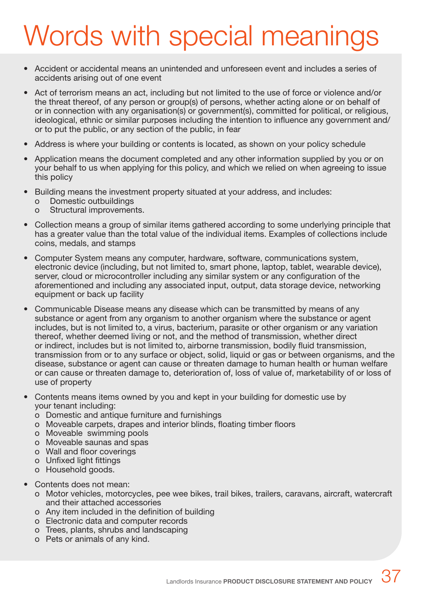## Words with special meanings

- Accident or accidental means an unintended and unforeseen event and includes a series of accidents arising out of one event
- Act of terrorism means an act, including but not limited to the use of force or violence and/or the threat thereof, of any person or group(s) of persons, whether acting alone or on behalf of or in connection with any organisation(s) or government(s), committed for political, or religious, ideological, ethnic or similar purposes including the intention to influence any government and/ or to put the public, or any section of the public, in fear
- Address is where your building or contents is located, as shown on your policy schedule
- Application means the document completed and any other information supplied by you or on your behalf to us when applying for this policy, and which we relied on when agreeing to issue this policy
- Building means the investment property situated at your address, and includes:
	- o Domestic outbuildings
	- o Structural improvements.
- Collection means a group of similar items gathered according to some underlying principle that has a greater value than the total value of the individual items. Examples of collections include coins, medals, and stamps
- Computer System means any computer, hardware, software, communications system, electronic device (including, but not limited to, smart phone, laptop, tablet, wearable device), server, cloud or microcontroller including any similar system or any configuration of the aforementioned and including any associated input, output, data storage device, networking equipment or back up facility
- Communicable Disease means any disease which can be transmitted by means of any substance or agent from any organism to another organism where the substance or agent includes, but is not limited to, a virus, bacterium, parasite or other organism or any variation thereof, whether deemed living or not, and the method of transmission, whether direct or indirect, includes but is not limited to, airborne transmission, bodily fluid transmission, transmission from or to any surface or object, solid, liquid or gas or between organisms, and the disease, substance or agent can cause or threaten damage to human health or human welfare or can cause or threaten damage to, deterioration of, loss of value of, marketability of or loss of use of property
- Contents means items owned by you and kept in your building for domestic use by your tenant including:
	- o Domestic and antique furniture and furnishings
	- o Moveable carpets, drapes and interior blinds, floating timber floors
	- o Moveable swimming pools
	- o Moveable saunas and spas
	- o Wall and floor coverings
	- o Unfixed light fittings
	- o Household goods.
- Contents does not mean:
	- o Motor vehicles, motorcycles, pee wee bikes, trail bikes, trailers, caravans, aircraft, watercraft and their attached accessories
	- o Any item included in the definition of building
	- o Electronic data and computer records
	- o Trees, plants, shrubs and landscaping
	- o Pets or animals of any kind.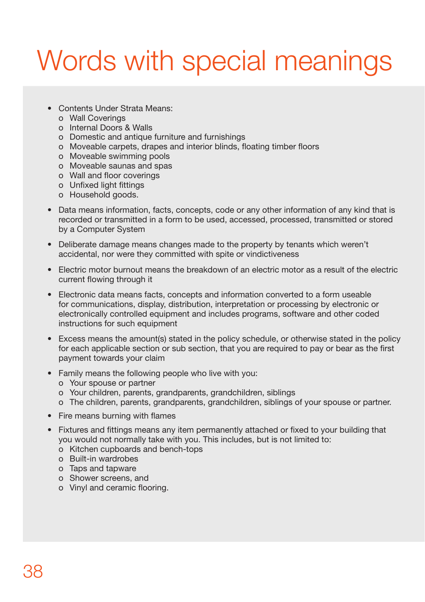## Words with special meanings

- Contents Under Strata Means:
	- o Wall Coverings
	- o Internal Doors & Walls
	- o Domestic and antique furniture and furnishings
	- o Moveable carpets, drapes and interior blinds, floating timber floors
	- o Moveable swimming pools
	- o Moveable saunas and spas
	- o Wall and floor coverings
	- o Unfixed light fittings
	- o Household goods.
- Data means information, facts, concepts, code or any other information of any kind that is recorded or transmitted in a form to be used, accessed, processed, transmitted or stored by a Computer System
- Deliberate damage means changes made to the property by tenants which weren't accidental, nor were they committed with spite or vindictiveness
- Electric motor burnout means the breakdown of an electric motor as a result of the electric current flowing through it
- Electronic data means facts, concepts and information converted to a form useable for communications, display, distribution, interpretation or processing by electronic or electronically controlled equipment and includes programs, software and other coded instructions for such equipment
- Excess means the amount(s) stated in the policy schedule, or otherwise stated in the policy for each applicable section or sub section, that you are required to pay or bear as the first payment towards your claim
- Family means the following people who live with you:
	- o Your spouse or partner
	- o Your children, parents, grandparents, grandchildren, siblings
	- o The children, parents, grandparents, grandchildren, siblings of your spouse or partner.
- Fire means burning with flames
- Fixtures and fittings means any item permanently attached or fixed to your building that you would not normally take with you. This includes, but is not limited to:
	- o Kitchen cupboards and bench-tops
	- o Built-in wardrobes
	- o Taps and tapware
	- o Shower screens, and
	- o Vinyl and ceramic flooring.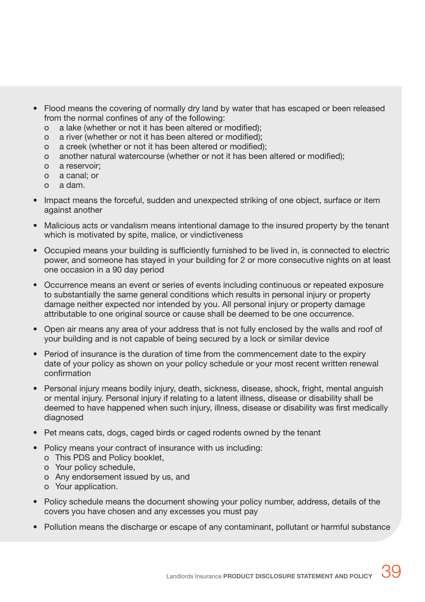- Flood means the covering of normally dry land by water that has escaped or been released from the normal confines of any of the following:
	- o a lake (whether or not it has been altered or modified);
	- o a river (whether or not it has been altered or modified);
	- o a creek (whether or not it has been altered or modified);
	- o another natural watercourse (whether or not it has been altered or modified);
	- o a reservoir;
	- o a canal; or
	- o a dam.
- Impact means the forceful, sudden and unexpected striking of one object, surface or item against another
- Malicious acts or vandalism means intentional damage to the insured property by the tenant which is motivated by spite, malice, or vindictiveness
- Occupied means your building is sufficiently furnished to be lived in, is connected to electric power, and someone has stayed in your building for 2 or more consecutive nights on at least one occasion in a 90 day period
- Occurrence means an event or series of events including continuous or repeated exposure to substantially the same general conditions which results in personal injury or property damage neither expected nor intended by you. All personal injury or property damage attributable to one original source or cause shall be deemed to be one occurrence.
- Open air means any area of your address that is not fully enclosed by the walls and roof of your building and is not capable of being secured by a lock or similar device
- Period of insurance is the duration of time from the commencement date to the expiry date of your policy as shown on your policy schedule or your most recent written renewal confirmation
- Personal injury means bodily injury, death, sickness, disease, shock, fright, mental anguish or mental injury. Personal injury if relating to a latent illness, disease or disability shall be deemed to have happened when such injury, illness, disease or disability was first medically diagnosed
- Pet means cats, dogs, caged birds or caged rodents owned by the tenant
- Policy means your contract of insurance with us including:
	- o This PDS and Policy booklet,
	- o Your policy schedule,
	- o Any endorsement issued by us, and
	- o Your application.
- Policy schedule means the document showing your policy number, address, details of the covers you have chosen and any excesses you must pay
- Pollution means the discharge or escape of any contaminant, pollutant or harmful substance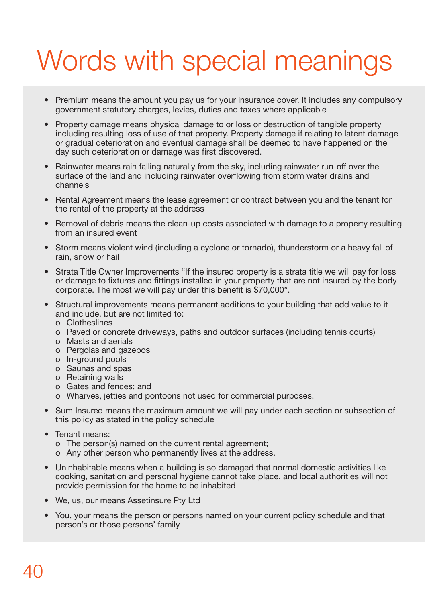## Words with special meanings

- Premium means the amount you pay us for your insurance cover. It includes any compulsory government statutory charges, levies, duties and taxes where applicable
- Property damage means physical damage to or loss or destruction of tangible property including resulting loss of use of that property. Property damage if relating to latent damage or gradual deterioration and eventual damage shall be deemed to have happened on the day such deterioration or damage was first discovered.
- Rainwater means rain falling naturally from the sky, including rainwater run-off over the surface of the land and including rainwater overflowing from storm water drains and channels
- Rental Agreement means the lease agreement or contract between you and the tenant for the rental of the property at the address
- Removal of debris means the clean-up costs associated with damage to a property resulting from an insured event
- Storm means violent wind (including a cyclone or tornado), thunderstorm or a heavy fall of rain, snow or hail
- Strata Title Owner Improvements "If the insured property is a strata title we will pay for loss or damage to fixtures and fittings installed in your property that are not insured by the body corporate. The most we will pay under this benefit is \$70,000".
- Structural improvements means permanent additions to your building that add value to it and include, but are not limited to:
	- o Clotheslines
	- o Paved or concrete driveways, paths and outdoor surfaces (including tennis courts)
	- o Masts and aerials
	- o Pergolas and gazebos
	- o In-ground pools
	- o Saunas and spas
	- o Retaining walls
	- o Gates and fences; and
	- o Wharves, jetties and pontoons not used for commercial purposes.
- Sum Insured means the maximum amount we will pay under each section or subsection of this policy as stated in the policy schedule
- Tenant means:
	- o The person(s) named on the current rental agreement;
	- o Any other person who permanently lives at the address.
- Uninhabitable means when a building is so damaged that normal domestic activities like cooking, sanitation and personal hygiene cannot take place, and local authorities will not provide permission for the home to be inhabited
- We, us, our means Assetinsure Pty Ltd
- You, your means the person or persons named on your current policy schedule and that person's or those persons' family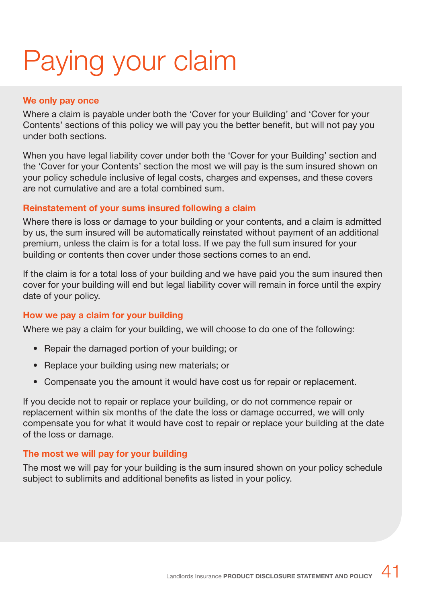## Paying your claim

### **We only pay once**

Where a claim is payable under both the 'Cover for your Building' and 'Cover for your Contents' sections of this policy we will pay you the better benefit, but will not pay you under both sections.

When you have legal liability cover under both the 'Cover for your Building' section and the 'Cover for your Contents' section the most we will pay is the sum insured shown on your policy schedule inclusive of legal costs, charges and expenses, and these covers are not cumulative and are a total combined sum.

## **Reinstatement of your sums insured following a claim**

Where there is loss or damage to your building or your contents, and a claim is admitted by us, the sum insured will be automatically reinstated without payment of an additional premium, unless the claim is for a total loss. If we pay the full sum insured for your building or contents then cover under those sections comes to an end.

If the claim is for a total loss of your building and we have paid you the sum insured then cover for your building will end but legal liability cover will remain in force until the expiry date of your policy.

## **How we pay a claim for your building**

Where we pay a claim for your building, we will choose to do one of the following:

- Repair the damaged portion of your building; or
- Replace your building using new materials; or
- Compensate you the amount it would have cost us for repair or replacement.

If you decide not to repair or replace your building, or do not commence repair or replacement within six months of the date the loss or damage occurred, we will only compensate you for what it would have cost to repair or replace your building at the date of the loss or damage.

## **The most we will pay for your building**

The most we will pay for your building is the sum insured shown on your policy schedule subject to sublimits and additional benefits as listed in your policy.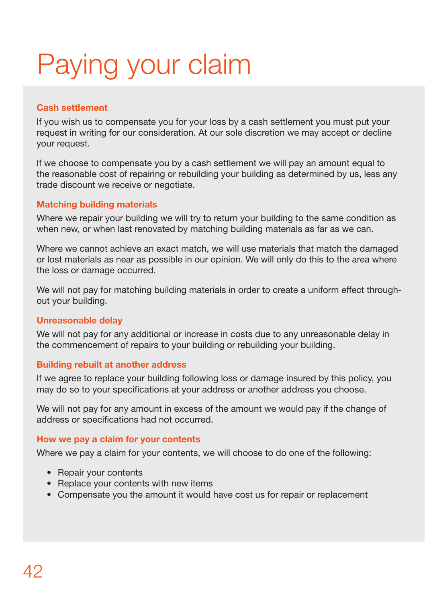# Paying your claim

## **Cash settlement**

If you wish us to compensate you for your loss by a cash settlement you must put your request in writing for our consideration. At our sole discretion we may accept or decline your request.

If we choose to compensate you by a cash settlement we will pay an amount equal to the reasonable cost of repairing or rebuilding your building as determined by us, less any trade discount we receive or negotiate.

## **Matching building materials**

Where we repair your building we will try to return your building to the same condition as when new, or when last renovated by matching building materials as far as we can.

Where we cannot achieve an exact match, we will use materials that match the damaged or lost materials as near as possible in our opinion. We will only do this to the area where the loss or damage occurred.

We will not pay for matching building materials in order to create a uniform effect throughout your building.

## **Unreasonable delay**

We will not pay for any additional or increase in costs due to any unreasonable delay in the commencement of repairs to your building or rebuilding your building.

## **Building rebuilt at another address**

If we agree to replace your building following loss or damage insured by this policy, you may do so to your specifications at your address or another address you choose.

We will not pay for any amount in excess of the amount we would pay if the change of address or specifications had not occurred.

## **How we pay a claim for your contents**

Where we pay a claim for your contents, we will choose to do one of the following:

- Repair your contents
- Replace your contents with new items
- Compensate you the amount it would have cost us for repair or replacement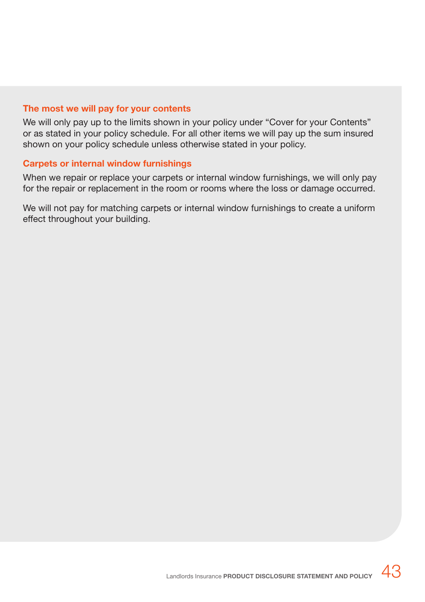### **The most we will pay for your contents**

We will only pay up to the limits shown in your policy under "Cover for your Contents" or as stated in your policy schedule. For all other items we will pay up the sum insured shown on your policy schedule unless otherwise stated in your policy.

### **Carpets or internal window furnishings**

When we repair or replace your carpets or internal window furnishings, we will only pay for the repair or replacement in the room or rooms where the loss or damage occurred.

We will not pay for matching carpets or internal window furnishings to create a uniform effect throughout your building.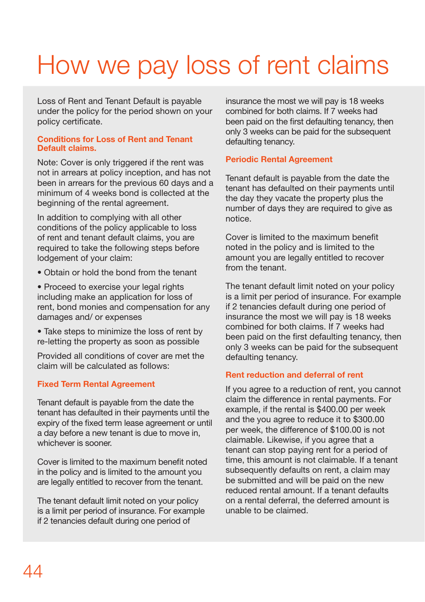## How we pay loss of rent claims

Loss of Rent and Tenant Default is payable under the policy for the period shown on your policy certificate.

### **Conditions for Loss of Rent and Tenant Default claims.**

Note: Cover is only triggered if the rent was not in arrears at policy inception, and has not been in arrears for the previous 60 days and a minimum of 4 weeks bond is collected at the beginning of the rental agreement.

In addition to complying with all other conditions of the policy applicable to loss of rent and tenant default claims, you are required to take the following steps before lodgement of your claim:

• Obtain or hold the bond from the tenant

• Proceed to exercise your legal rights including make an application for loss of rent, bond monies and compensation for any damages and/ or expenses

• Take steps to minimize the loss of rent by re-letting the property as soon as possible

Provided all conditions of cover are met the claim will be calculated as follows:

### **Fixed Term Rental Agreement**

Tenant default is payable from the date the tenant has defaulted in their payments until the expiry of the fixed term lease agreement or until a day before a new tenant is due to move in, whichever is sooner.

Cover is limited to the maximum benefit noted in the policy and is limited to the amount you are legally entitled to recover from the tenant.

The tenant default limit noted on your policy is a limit per period of insurance. For example if 2 tenancies default during one period of

insurance the most we will pay is 18 weeks combined for both claims. If 7 weeks had been paid on the first defaulting tenancy, then only 3 weeks can be paid for the subsequent defaulting tenancy.

## **Periodic Rental Agreement**

Tenant default is payable from the date the tenant has defaulted on their payments until the day they vacate the property plus the number of days they are required to give as notice.

Cover is limited to the maximum benefit noted in the policy and is limited to the amount you are legally entitled to recover from the tenant.

The tenant default limit noted on your policy is a limit per period of insurance. For example if 2 tenancies default during one period of insurance the most we will pay is 18 weeks combined for both claims. If 7 weeks had been paid on the first defaulting tenancy, then only 3 weeks can be paid for the subsequent defaulting tenancy.

### **Rent reduction and deferral of rent**

If you agree to a reduction of rent, you cannot claim the difference in rental payments. For example, if the rental is \$400.00 per week and the you agree to reduce it to \$300.00 per week, the difference of \$100.00 is not claimable. Likewise, if you agree that a tenant can stop paying rent for a period of time, this amount is not claimable. If a tenant subsequently defaults on rent, a claim may be submitted and will be paid on the new reduced rental amount. If a tenant defaults on a rental deferral, the deferred amount is unable to be claimed.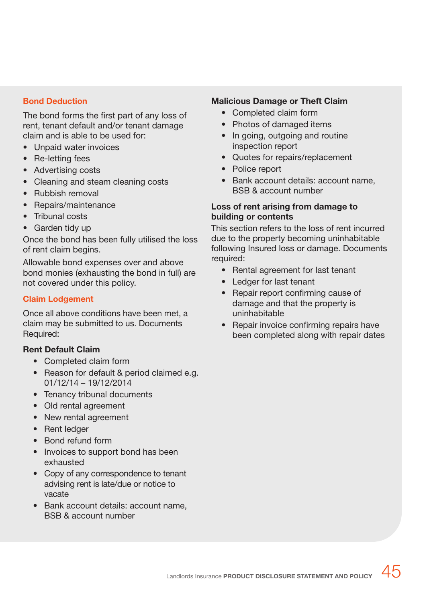### **Bond Deduction**

The bond forms the first part of any loss of rent, tenant default and/or tenant damage claim and is able to be used for:

- Unpaid water invoices
- Re-letting fees
- Advertising costs
- Cleaning and steam cleaning costs
- Rubbish removal
- Repairs/maintenance
- Tribunal costs
- Garden tidy up

Once the bond has been fully utilised the loss of rent claim begins.

Allowable bond expenses over and above bond monies (exhausting the bond in full) are not covered under this policy.

### **Claim Lodgement**

Once all above conditions have been met, a claim may be submitted to us. Documents Required:

### **Rent Default Claim**

- Completed claim form
- Reason for default & period claimed e.g. 01/12/14 – 19/12/2014
- Tenancy tribunal documents
- Old rental agreement
- New rental agreement
- Rent ledger
- Bond refund form
- Invoices to support bond has been exhausted
- Copy of any correspondence to tenant advising rent is late/due or notice to vacate
- Bank account details: account name, BSB & account number

### **Malicious Damage or Theft Claim**

- Completed claim form
- Photos of damaged items
- In going, outgoing and routine inspection report
- Quotes for repairs/replacement
- Police report
- Bank account details: account name, BSB & account number

### **Loss of rent arising from damage to building or contents**

This section refers to the loss of rent incurred due to the property becoming uninhabitable following Insured loss or damage. Documents required:

- Rental agreement for last tenant
- Ledger for last tenant
- Repair report confirming cause of damage and that the property is uninhabitable
- Repair invoice confirming repairs have been completed along with repair dates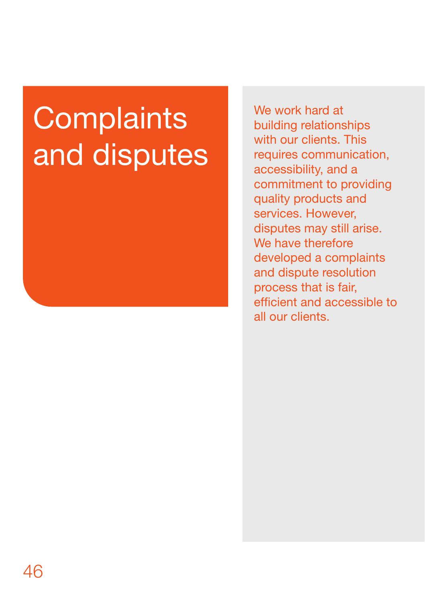# **Complaints** and disputes

We work hard at building relationships with our clients. This requires communication, accessibility, and a commitment to providing quality products and services. However, disputes may still arise. We have therefore developed a complaints and dispute resolution process that is fair, efficient and accessible to all our clients.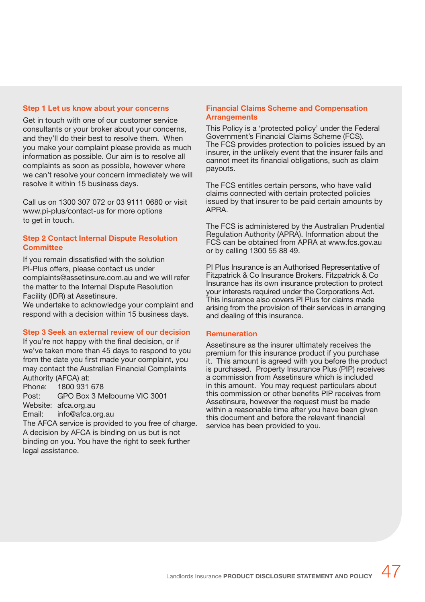### **Step 1 Let us know about your concerns**

Get in touch with one of our customer service consultants or your broker about your concerns, and they'll do their best to resolve them. When you make your complaint please provide as much information as possible. Our aim is to resolve all complaints as soon as possible, however where we can't resolve your concern immediately we will resolve it within 15 business days.

Call us on 1300 307 072 or 03 9111 0680 or visit www.pi-plus/contact-us for more options to get in touch.

### **Step 2 Contact Internal Dispute Resolution Committee**

If you remain dissatisfied with the solution PI-Plus offers, please contact us under complaints@assetinsure.com.au and we will refer the matter to the Internal Dispute Resolution Facility (IDR) at Assetinsure.

We undertake to acknowledge your complaint and respond with a decision within 15 business days.

### **Step 3 Seek an external review of our decision**

If you're not happy with the final decision, or if we've taken more than 45 days to respond to you from the date you first made your complaint, you may contact the Australian Financial Complaints Authority (AFCA) at:

Phone: 1800 931 678 Post: GPO Box 3 Melbourne VIC 3001 Website: afca.org.au Email: info@afca.org.au

The AFCA service is provided to you free of charge. A decision by AFCA is binding on us but is not binding on you. You have the right to seek further legal assistance.

### **Financial Claims Scheme and Compensation Arrangements**

This Policy is a 'protected policy' under the Federal Government's Financial Claims Scheme (FCS). The FCS provides protection to policies issued by an insurer, in the unlikely event that the insurer fails and cannot meet its financial obligations, such as claim payouts.

The FCS entitles certain persons, who have valid claims connected with certain protected policies issued by that insurer to be paid certain amounts by APRA.

The FCS is administered by the Australian Prudential Regulation Authority (APRA). Information about the FCS can be obtained from APRA at www.fcs.gov.au or by calling 1300 55 88 49.

PI Plus Insurance is an Authorised Representative of Fitzpatrick & Co Insurance Brokers. Fitzpatrick & Co Insurance has its own insurance protection to protect your interests required under the Corporations Act. This insurance also covers PI Plus for claims made arising from the provision of their services in arranging and dealing of this insurance.

### **Remuneration**

Assetinsure as the insurer ultimately receives the premium for this insurance product if you purchase it. This amount is agreed with you before the product is purchased. Property Insurance Plus (PIP) receives a commission from Assetinsure which is included in this amount. You may request particulars about this commission or other benefits PIP receives from Assetinsure, however the request must be made within a reasonable time after you have been given this document and before the relevant financial service has been provided to you.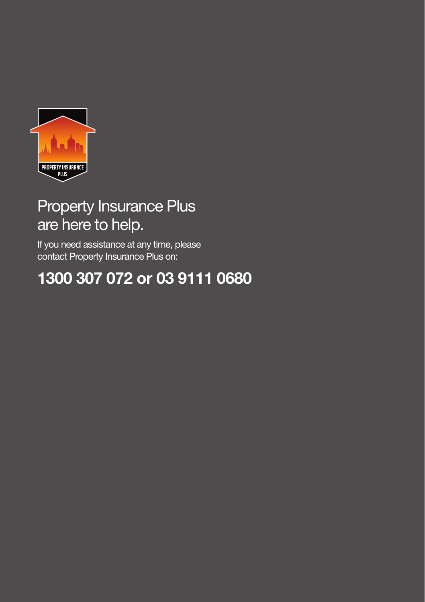

## Property Insurance Plus are here to help.

If you need assistance at any time, please contact Property Insurance Plus on:

## **1300 307 072 or 03 9111 0680**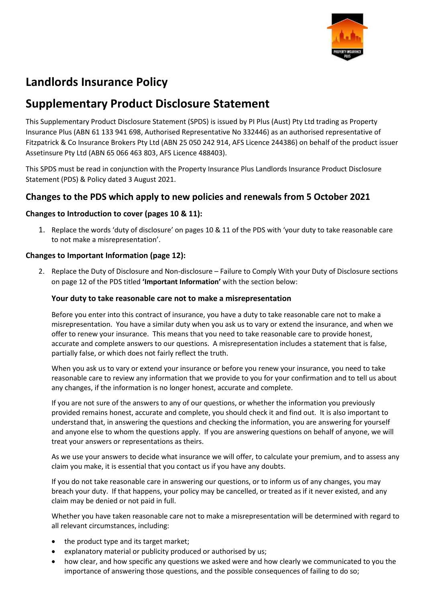

## **Landlords Insurance Policy**

## **Supplementary Product Disclosure Statement**

This Supplementary Product Disclosure Statement (SPDS) is issued by PI Plus (Aust) Pty Ltd trading as Property Insurance Plus (ABN 61 133 941 698, Authorised Representative No 332446) as an authorised representative of Fitzpatrick & Co Insurance Brokers Pty Ltd (ABN 25 050 242 914, AFS Licence 244386) on behalf of the product issuer Assetinsure Pty Ltd (ABN 65 066 463 803, AFS Licence 488403).

This SPDS must be read in conjunction with the Property Insurance Plus Landlords Insurance Product Disclosure Statement (PDS) & Policy dated 3 August 2021.

## **Changes to the PDS which apply to new policies and renewals from 5 October 2021**

## **Changes to Introduction to cover (pages 10 & 11):**

1. Replace the words 'duty of disclosure' on pages 10 & 11 of the PDS with 'your duty to take reasonable care to not make a misrepresentation'.

## **Changes to Important Information (page 12):**

2. Replace the Duty of Disclosure and Non-disclosure – Failure to Comply With your Duty of Disclosure sections on page 12 of the PDS titled **'Important Information'** with the section below:

## **Your duty to take reasonable care not to make a misrepresentation**

Before you enter into this contract of insurance, you have a duty to take reasonable care not to make a misrepresentation. You have a similar duty when you ask us to vary or extend the insurance, and when we offer to renew your insurance. This means that you need to take reasonable care to provide honest, accurate and complete answers to our questions. A misrepresentation includes a statement that is false, partially false, or which does not fairly reflect the truth.

When you ask us to vary or extend your insurance or before you renew your insurance, you need to take reasonable care to review any information that we provide to you for your confirmation and to tell us about any changes, if the information is no longer honest, accurate and complete.

If you are not sure of the answers to any of our questions, or whether the information you previously provided remains honest, accurate and complete, you should check it and find out. It is also important to understand that, in answering the questions and checking the information, you are answering for yourself and anyone else to whom the questions apply. If you are answering questions on behalf of anyone, we will treat your answers or representations as theirs.

As we use your answers to decide what insurance we will offer, to calculate your premium, and to assess any claim you make, it is essential that you contact us if you have any doubts.

If you do not take reasonable care in answering our questions, or to inform us of any changes, you may breach your duty. If that happens, your policy may be cancelled, or treated as if it never existed, and any claim may be denied or not paid in full.

Whether you have taken reasonable care not to make a misrepresentation will be determined with regard to all relevant circumstances, including:

- the product type and its target market;
- explanatory material or publicity produced or authorised by us;
- how clear, and how specific any questions we asked were and how clearly we communicated to you the importance of answering those questions, and the possible consequences of failing to do so;